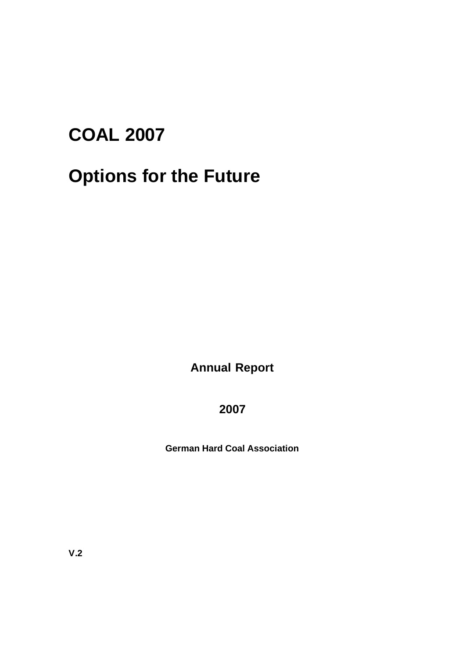# **COAL 2007**

# **Options for the Future**

**Annual Report**

# **2007**

**German Hard Coal Association**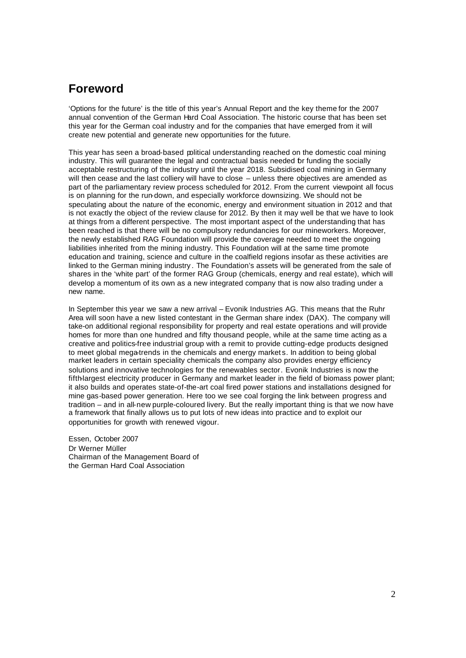# **Foreword**

'Options for the future' is the title of this year's Annual Report and the key theme for the 2007 annual convention of the German Hard Coal Association. The historic course that has been set this year for the German coal industry and for the companies that have emerged from it will create new potential and generate new opportunities for the future.

This year has seen a broad-based political understanding reached on the domestic coal mining industry. This will guarantee the legal and contractual basis needed br funding the socially acceptable restructuring of the industry until the year 2018. Subsidised coal mining in Germany will then cease and the last colliery will have to close – unless there objectives are amended as part of the parliamentary review process scheduled for 2012. From the current viewpoint all focus is on planning for the run-down, and especially workforce downsizing. We should not be speculating about the nature of the economic, energy and environment situation in 2012 and that is not exactly the object of the review clause for 2012. By then it may well be that we have to look at things from a different perspective. The most important aspect of the understanding that has been reached is that there will be no compulsory redundancies for our mineworkers. Moreover, the newly established RAG Foundation will provide the coverage needed to meet the ongoing liabilities inherited from the mining industry. This Foundation will at the same time promote education and training, science and culture in the coalfield regions insofar as these activities are linked to the German mining industry . The Foundation's assets will be generated from the sale of shares in the 'white part' of the former RAG Group (chemicals, energy and real estate), which will develop a momentum of its own as a new integrated company that is now also trading under a new name.

In September this year we saw a new arrival – Evonik Industries AG. This means that the Ruhr Area will soon have a new listed contestant in the German share index (DAX). The company will take-on additional regional responsibility for property and real estate operations and will provide homes for more than one hundred and fifty thousand people, while at the same time acting as a creative and politics-free industrial group with a remit to provide cutting-edge products designed to meet global mega-trends in the chemicals and energy market s. In addition to being global market leaders in certain speciality chemicals the company also provides energy efficiency solutions and innovative technologies for the renewables sector. Evonik Industries is now the fifth-largest electricity producer in Germany and market leader in the field of biomass power plant; it also builds and operates state-of-the-art coal fired power stations and installations designed for mine gas-based power generation. Here too we see coal forging the link between progress and tradition – and in all-new purple-coloured livery. But the really important thing is that we now have a framework that finally allows us to put lots of new ideas into practice and to exploit our opportunities for growth with renewed vigour.

Essen, October 2007 Dr Werner Müller Chairman of the Management Board of the German Hard Coal Association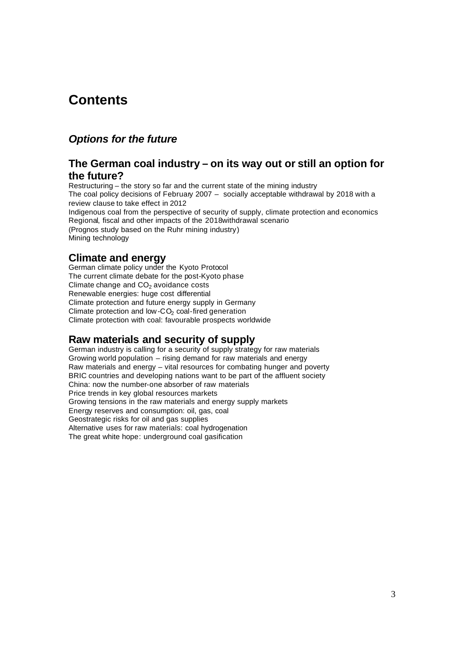# **Contents**

# *Options for the future*

# **The German coal industry – on its way out or still an option for the future?**

Restructuring – the story so far and the current state of the mining industry The coal policy decisions of February 2007 – socially acceptable withdrawal by 2018 with a review clause to take effect in 2012 Indigenous coal from the perspective of security of supply, climate protection and economics Regional, fiscal and other impacts of the 2018withdrawal scenario (Prognos study based on the Ruhr mining industry) Mining technology

# **Climate and energy**

German climate policy under the Kyoto Protocol The current climate debate for the post-Kyoto phase Climate change and  $CO<sub>2</sub>$  avoidance costs Renewable energies: huge cost differential Climate protection and future energy supply in Germany Climate protection and low- $CO<sub>2</sub>$  coal-fired generation Climate protection with coal: favourable prospects worldwide

# **Raw materials and security of supply**

German industry is calling for a security of supply strategy for raw materials Growing world population – rising demand for raw materials and energy Raw materials and energy – vital resources for combating hunger and poverty BRIC countries and developing nations want to be part of the affluent society China: now the number-one absorber of raw materials Price trends in key global resources markets Growing tensions in the raw materials and energy supply markets Energy reserves and consumption: oil, gas, coal Geostrategic risks for oil and gas supplies Alternative uses for raw materials: coal hydrogenation The great white hope: underground coal gasification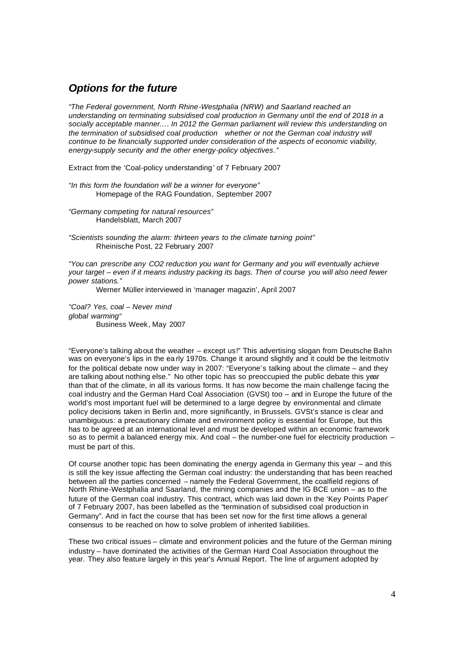# *Options for the future*

*"The Federal government, North Rhine-Westphalia (NRW) and Saarland reached an understanding on terminating subsidised coal production in Germany until the end of 2018 in a socially acceptable manner…. In 2012 the German parliament will review this understanding on the termination of subsidised coal production whether or not the German coal industry will continue to be financially supported under consideration of the aspects of economic viability, energy-supply security and the other energy-policy objectives."*

Extract from the 'Coal-policy understanding' of 7 February 2007

*"In this form the foundation will be a winner for everyone"* Homepage of the RAG Foundation, September 2007

*"Germany competing for natural resources"* Handelsblatt, March 2007

*"Scientists sounding the alarm: thirteen years to the climate turning point"* Rheinische Post, 22 February 2007

*"You can prescribe any CO2 reduction you want for Germany and you will eventually achieve your target – even if it means industry packing its bags. Then of course you will also need fewer power stations."*

Werner Müller interviewed in 'manager magazin', April 2007

*"Coal? Yes, coal – Never mind global warming"* Business Week, May 2007

"Everyone's talking about the weather – except us!" This advertising slogan from Deutsche Bahn was on everyone's lips in the ea rly 1970s. Change it around slightly and it could be the leitmotiv for the political debate now under way in 2007: "Everyone's talking about the climate – and they are talking about nothing else." No other topic has so preoccupied the public debate this year than that of the climate, in all its various forms. It has now become the main challenge facing the coal industry and the German Hard Coal Association (GVSt) too – and in Europe the future of the world's most important fuel will be determined to a large degree by environmental and climate policy decisions taken in Berlin and, more significantly, in Brussels. GVSt's stance is clear and unambiguous: a precautionary climate and environment policy is essential for Europe, but this has to be agreed at an international level and must be developed within an economic framework so as to permit a balanced energy mix. And coal – the number-one fuel for electricity production – must be part of this.

Of course another topic has been dominating the energy agenda in Germany this year – and this is still the key issue affecting the German coal industry: the understanding that has been reached between all the parties concerned – namely the Federal Government, the coalfield regions of North Rhine-Westphalia and Saarland, the mining companies and the IG BCE union – as to the future of the German coal industry. This contract, which was laid down in the 'Key Points Paper' of 7 February 2007, has been labelled as the "termination of subsidised coal production in Germany". And in fact the course that has been set now for the first time allows a general consensus to be reached on how to solve problem of inherited liabilities.

These two critical issues – climate and environment policies and the future of the German mining industry – have dominated the activities of the German Hard Coal Association throughout the year. They also feature largely in this year's Annual Report. The line of argument adopted by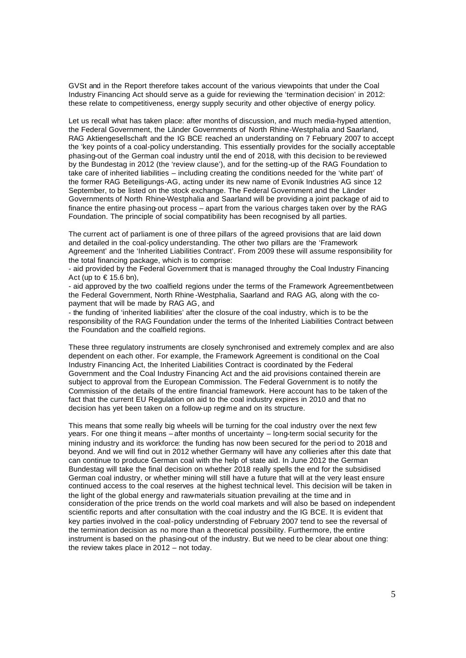GVSt and in the Report therefore takes account of the various viewpoints that under the Coal Industry Financing Act should serve as a guide for reviewing the 'termination decision' in 2012: these relate to competitiveness, energy supply security and other objective of energy policy.

Let us recall what has taken place: after months of discussion, and much media-hyped attention, the Federal Government, the Länder Governments of North Rhine-Westphalia and Saarland, RAG Aktiengesellschaft and the IG BCE reached an understanding on 7 February 2007 to accept the 'key points of a coal-policy understanding. This essentially provides for the socially acceptable phasing-out of the German coal industry until the end of 2018, with this decision to be reviewed by the Bundestag in 2012 (the 'review clause'), and for the setting-up of the RAG Foundation to take care of inherited liabilities – including creating the conditions needed for the 'white part' of the former RAG Beteiligungs-AG, acting under its new name of Evonik Industries AG since 12 September, to be listed on the stock exchange. The Federal Government and the Länder Governments of North Rhine-Westphalia and Saarland will be providing a joint package of aid to finance the entire phasing-out process – apart from the various charges taken over by the RAG Foundation. The principle of social compatibility has been recognised by all parties.

The current act of parliament is one of three pillars of the agreed provisions that are laid down and detailed in the coal-policy understanding. The other two pillars are the 'Framework Agreement' and the 'Inherited Liabilities Contract'. From 2009 these will assume responsibility for the total financing package, which is to comprise:

- aid provided by the Federal Government that is managed throughy the Coal Industry Financing Act (up to  $\in$  15.6 bn),

- aid approved by the two coalfield regions under the terms of the Framework Agreementbetween the Federal Government, North Rhine -Westphalia, Saarland and RAG AG, along with the copayment that will be made by RAG AG, and

- the funding of 'inherited liabilities' after the closure of the coal industry, which is to be the responsibility of the RAG Foundation under the terms of the Inherited Liabilities Contract between the Foundation and the coalfield regions.

These three regulatory instruments are closely synchronised and extremely complex and are also dependent on each other. For example, the Framework Agreement is conditional on the Coal Industry Financing Act, the Inherited Liabilities Contract is coordinated by the Federal Government and the Coal Industry Financing Act and the aid provisions contained therein are subject to approval from the European Commission. The Federal Government is to notify the Commission of the details of the entire financial framework. Here account has to be taken of the fact that the current EU Regulation on aid to the coal industry expires in 2010 and that no decision has yet been taken on a follow-up regime and on its structure.

This means that some really big wheels will be turning for the coal industry over the next few years. For one thing it means – after months of uncertainty – long-term social security for the mining industry and its workforce: the funding has now been secured for the peri od to 2018 and beyond. And we will find out in 2012 whether Germany will have any collieries after this date that can continue to produce German coal with the help of state aid. In June 2012 the German Bundestag will take the final decision on whether 2018 really spells the end for the subsidised German coal industry, or whether mining will still have a future that will at the very least ensure continued access to the coal reserves at the highest technical level. This decision will be taken in the light of the global energy and raw-materials situation prevailing at the time and in consideration of the price trends on the world coal markets and will also be based on independent scientific reports and after consultation with the coal industry and the IG BCE. It is evident that key parties involved in the coal-policy understnding of February 2007 tend to see the reversal of the termination decision as no more than a theoretical possibility. Furthermore, the entire instrument is based on the phasing-out of the industry. But we need to be clear about one thing: the review takes place in 2012 – not today.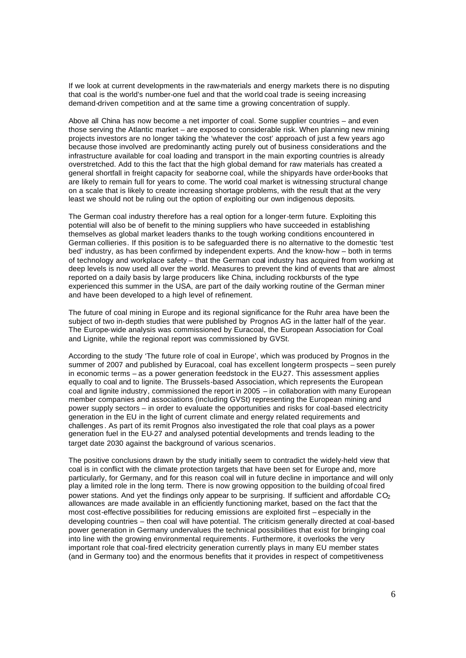If we look at current developments in the raw-materials and energy markets there is no disputing that coal is the world's number-one fuel and that the world coal trade is seeing increasing demand-driven competition and at the same time a growing concentration of supply.

Above all China has now become a net importer of coal. Some supplier countries – and even those serving the Atlantic market – are exposed to considerable risk. When planning new mining projects investors are no longer taking the 'whatever the cost' approach of just a few years ago because those involved are predominantly acting purely out of business considerations and the infrastructure available for coal loading and transport in the main exporting countries is already overstretched. Add to this the fact that the high global demand for raw materials has created a general shortfall in freight capacity for seaborne coal, while the shipyards have order-books that are likely to remain full for years to come. The world coal market is witnessing structural change on a scale that is likely to create increasing shortage problems, with the result that at the very least we should not be ruling out the option of exploiting our own indigenous deposits.

The German coal industry therefore has a real option for a longer-term future. Exploiting this potential will also be of benefit to the mining suppliers who have succeeded in establishing themselves as global market leaders thanks to the tough working conditions encountered in German collieries. If this position is to be safeguarded there is no alternative to the domestic 'test bed' industry, as has been confirmed by independent experts. And the know-how – both in terms of technology and workplace safety – that the German coal industry has acquired from working at deep levels is now used all over the world. Measures to prevent the kind of events that are almost reported on a daily basis by large producers like China, including rockbursts of the type experienced this summer in the USA, are part of the daily working routine of the German miner and have been developed to a high level of refinement.

The future of coal mining in Europe and its regional significance for the Ruhr area have been the subject of two in-depth studies that were published by Prognos AG in the latter half of the year. The Europe-wide analysis was commissioned by Euracoal, the European Association for Coal and Lignite, while the regional report was commissioned by GVSt.

According to the study 'The future role of coal in Europe', which was produced by Prognos in the summer of 2007 and published by Euracoal, coal has excellent long-term prospects – seen purely in economic terms – as a power generation feedstock in the EU-27. This assessment applies equally to coal and to lignite. The Brussels-based Association, which represents the European coal and lignite industry, commissioned the report in 2005 – in collaboration with many European member companies and associations (including GVSt) representing the European mining and power supply sectors – in order to evaluate the opportunities and risks for coal-based electricity generation in the EU in the light of current climate and energy related requirements and challenges . As part of its remit Prognos also investigated the role that coal plays as a power generation fuel in the EU-27 and analysed potential developments and trends leading to the target date 2030 against the background of various scenarios.

The positive conclusions drawn by the study initially seem to contradict the widely-held view that coal is in conflict with the climate protection targets that have been set for Europe and, more particularly, for Germany, and for this reason coal will in future decline in importance and will only play a limited role in the long term. There is now growing opposition to the building of coal fired power stations. And yet the findings only appear to be surprising. If sufficient and affordable  $CO<sub>2</sub>$ allowances are made available in an efficiently functioning market, based on the fact that the most cost-effective possibilities for reducing emissions are exploited first – especially in the developing countries – then coal will have potential. The criticism generally directed at coal-based power generation in Germany undervalues the technical possibilities that exist for bringing coal into line with the growing environmental requirements. Furthermore, it overlooks the very important role that coal-fired electricity generation currently plays in many EU member states (and in Germany too) and the enormous benefits that it provides in respect of competitiveness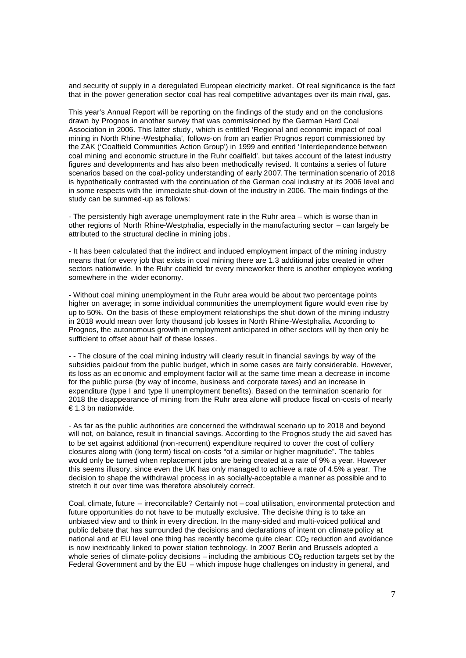and security of supply in a deregulated European electricity market. Of real significance is the fact that in the power generation sector coal has real competitive advantages over its main rival, gas.

This year's Annual Report will be reporting on the findings of the study and on the conclusions drawn by Prognos in another survey that was commissioned by the German Hard Coal Association in 2006. This latter study , which is entitled 'Regional and economic impact of coal mining in North Rhine -Westphalia', follows-on from an earlier Prognos report commissioned by the ZAK ('Coalfield Communities Action Group') in 1999 and entitled 'Interdependence between coal mining and economic structure in the Ruhr coalfield', but takes account of the latest industry figures and developments and has also been methodically revised. It contains a series of future scenarios based on the coal-policy understanding of early 2007. The termination scenario of 2018 is hypothetically contrasted with the continuation of the German coal industry at its 2006 level and in some respects with the immediate shut-down of the industry in 2006. The main findings of the study can be summed-up as follows:

- The persistently high average unemployment rate in the Ruhr area – which is worse than in other regions of North Rhine-Westphalia, especially in the manufacturing sector – can largely be attributed to the structural decline in mining jobs .

- It has been calculated that the indirect and induced employment impact of the mining industry means that for every job that exists in coal mining there are 1.3 additional jobs created in other sectors nationwide. In the Ruhr coalfield for every mineworker there is another employee working somewhere in the wider economy.

- Without coal mining unemployment in the Ruhr area would be about two percentage points higher on average; in some individual communities the unemployment figure would even rise by up to 50%. On the basis of these employment relationships the shut-down of the mining industry in 2018 would mean over forty thousand job losses in North Rhine-Westphalia. According to Prognos, the autonomous growth in employment anticipated in other sectors will by then only be sufficient to offset about half of these losses.

- - The closure of the coal mining industry will clearly result in financial savings by way of the subsidies paid-out from the public budget, which in some cases are fairly considerable. However, its loss as an ec onomic and employment factor will at the same time mean a decrease in income for the public purse (by way of income, business and corporate taxes) and an increase in expenditure (type I and type II unemployment benefits). Based on the termination scenario for 2018 the disappearance of mining from the Ruhr area alone will produce fiscal on-costs of nearly € 1.3 bn nationwide.

- As far as the public authorities are concerned the withdrawal scenario up to 2018 and beyond will not, on balance, result in financial savings. According to the Prognos study the aid saved has to be set against additional (non-recurrent) expenditure required to cover the cost of colliery closures along with (long term) fiscal on-costs "of a similar or higher magnitude". The tables would only be turned when replacement jobs are being created at a rate of 9% a year. However this seems illusory, since even the UK has only managed to achieve a rate of 4.5% a year. The decision to shape the withdrawal process in as socially-acceptable a manner as possible and to stretch it out over time was therefore absolutely correct.

Coal, climate, future – irreconcilable? Certainly not – coal utilisation, environmental protection and future opportunities do not have to be mutually exclusive. The decisive thing is to take an unbiased view and to think in every direction. In the many-sided and multi-voiced political and public debate that has surrounded the decisions and declarations of intent on climate policy at national and at EU level one thing has recently become quite clear:  $CO<sub>2</sub>$  reduction and avoidance is now inextricably linked to power station technology. In 2007 Berlin and Brussels adopted a whole series of climate-policy decisions – including the ambitious  $CO<sub>2</sub>$  reduction targets set by the Federal Government and by the EU – which impose huge challenges on industry in general, and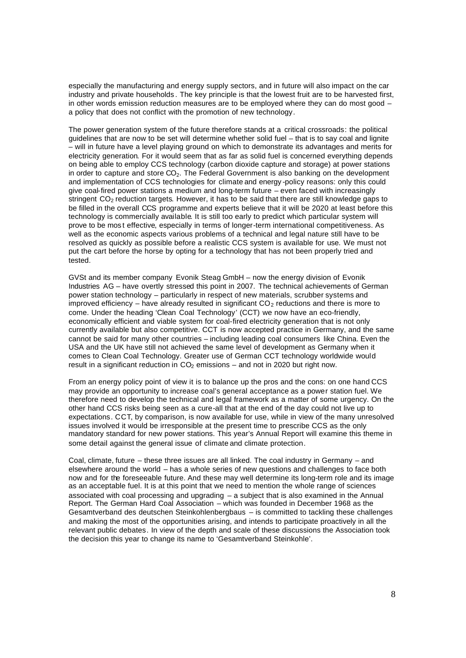especially the manufacturing and energy supply sectors, and in future will also impact on the car industry and private households . The key principle is that the lowest fruit are to be harvested first, in other words emission reduction measures are to be employed where they can do most good a policy that does not conflict with the promotion of new technology.

The power generation system of the future therefore stands at a critical crossroads: the political guidelines that are now to be set will determine whether solid fuel – that is to say coal and lignite – will in future have a level playing ground on which to demonstrate its advantages and merits for electricity generation. For it would seem that as far as solid fuel is concerned everything depends on being able to employ CCS technology (carbon dioxide capture and storage) at power stations in order to capture and store  $CO<sub>2</sub>$ . The Federal Government is also banking on the development and implementation of CCS technologies for climate and energy -policy reasons: only this could give coal-fired power stations a medium and long-term future – even faced with increasingly stringent  $CO<sub>2</sub>$  reduction targets. However, it has to be said that there are still knowledge gaps to be filled in the overall CCS programme and experts believe that it will be 2020 at least before this technology is commercially available. It is still too early to predict which particular system will prove to be mos t effective, especially in terms of longer-term international competitiveness. As well as the economic aspects various problems of a technical and legal nature still have to be resolved as quickly as possible before a realistic CCS system is available for use. We must not put the cart before the horse by opting for a technology that has not been properly tried and tested.

GVSt and its member company Evonik Steag GmbH – now the energy division of Evonik Industries AG – have overtly stressed this point in 2007. The technical achievements of German power station technology – particularly in respect of new materials, scrubber systems and improved efficiency – have already resulted in significant  $CO<sub>2</sub>$  reductions and there is more to come. Under the heading 'Clean Coal Technology' (CCT) we now have an eco-friendly, economically efficient and viable system for coal-fired electricity generation that is not only currently available but also competitive. CCT is now accepted practice in Germany, and the same cannot be said for many other countries – including leading coal consumers like China. Even the USA and the UK have still not achieved the same level of development as Germany when it comes to Clean Coal Technology. Greater use of German CCT technology worldwide would result in a significant reduction in  $CO<sub>2</sub>$  emissions – and not in 2020 but right now.

From an energy policy point of view it is to balance up the pros and the cons: on one hand CCS may provide an opportunity to increase coal's general acceptance as a power station fuel. We therefore need to develop the technical and legal framework as a matter of some urgency. On the other hand CCS risks being seen as a cure-all that at the end of the day could not live up to expectations. CCT, by comparison, is now available for use, while in view of the many unresolved issues involved it would be irresponsible at the present time to prescribe CCS as the only mandatory standard for new power stations. This year's Annual Report will examine this theme in some detail against the general issue of climate and climate protection.

Coal, climate, future – these three issues are all linked. The coal industry in Germany – and elsewhere around the world – has a whole series of new questions and challenges to face both now and for the foreseeable future. And these may well determine its long-term role and its image as an acceptable fuel. It is at this point that we need to mention the whole range of sciences associated with coal processing and upgrading – a subject that is also examined in the Annual Report. The German Hard Coal Association – which was founded in December 1968 as the Gesamtverband des deutschen Steinkohlenbergbaus – is committed to tackling these challenges and making the most of the opportunities arising, and intends to participate proactively in all the relevant public debates. In view of the depth and scale of these discussions the Association took the decision this year to change its name to 'Gesamtverband Steinkohle'.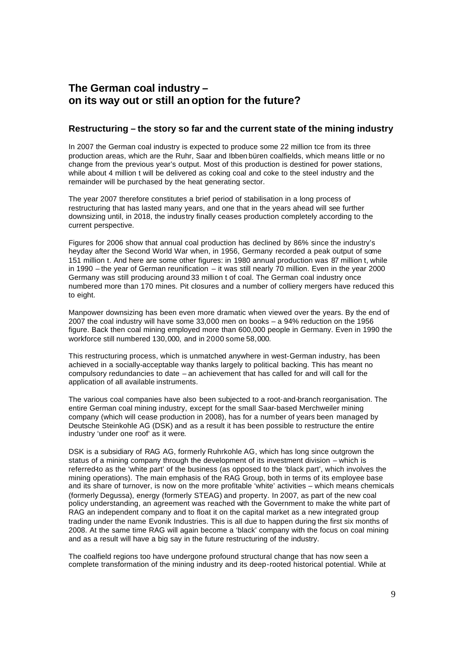# **The German coal industry – on its way out or still an option for the future?**

# **Restructuring – the story so far and the current state of the mining industry**

In 2007 the German coal industry is expected to produce some 22 million tce from its three production areas, which are the Ruhr, Saar and Ibben büren coalfields, which means little or no change from the previous year's output. Most of this production is destined for power stations, while about 4 million t will be delivered as coking coal and coke to the steel industry and the remainder will be purchased by the heat generating sector.

The year 2007 therefore constitutes a brief period of stabilisation in a long process of restructuring that has lasted many years, and one that in the years ahead will see further downsizing until, in 2018, the industry finally ceases production completely according to the current perspective.

Figures for 2006 show that annual coal production has declined by 86% since the industry's heyday after the Second World War when, in 1956, Germany recorded a peak output of some 151 million t. And here are some other figures: in 1980 annual production was 87 million t, while in 1990 – the year of German reunification – it was still nearly 70 million. Even in the year 2000 Germany was still producing around 33 million t of coal. The German coal industry once numbered more than 170 mines. Pit closures and a number of colliery mergers have reduced this to eight.

Manpower downsizing has been even more dramatic when viewed over the years. By the end of 2007 the coal industry will have some 33,000 men on books – a 94% reduction on the 1956 figure. Back then coal mining employed more than 600,000 people in Germany. Even in 1990 the workforce still numbered 130,000, and in 2000 some 58,000.

This restructuring process, which is unmatched anywhere in west-German industry, has been achieved in a socially-acceptable way thanks largely to political backing. This has meant no compulsory redundancies to date – an achievement that has called for and will call for the application of all available instruments.

The various coal companies have also been subjected to a root-and-branch reorganisation. The entire German coal mining industry, except for the small Saar-based Merchweiler mining company (which will cease production in 2008), has for a number of years been managed by Deutsche Steinkohle AG (DSK) and as a result it has been possible to restructure the entire industry 'under one roof' as it were.

DSK is a subsidiary of RAG AG, formerly Ruhrkohle AG, which has long since outgrown the status of a mining company through the development of its investment division – which is referred-to as the 'white part' of the business (as opposed to the 'black part', which involves the mining operations). The main emphasis of the RAG Group, both in terms of its employee base and its share of turnover, is now on the more profitable 'white' activities – which means chemicals (formerly Degussa), energy (formerly STEAG) and property. In 2007, as part of the new coal policy understanding, an agreement was reached with the Government to make the white part of RAG an independent company and to float it on the capital market as a new integrated group trading under the name Evonik Industries. This is all due to happen during the first six months of 2008. At the same time RAG will again become a 'black' company with the focus on coal mining and as a result will have a big say in the future restructuring of the industry.

The coalfield regions too have undergone profound structural change that has now seen a complete transformation of the mining industry and its deep-rooted historical potential. While at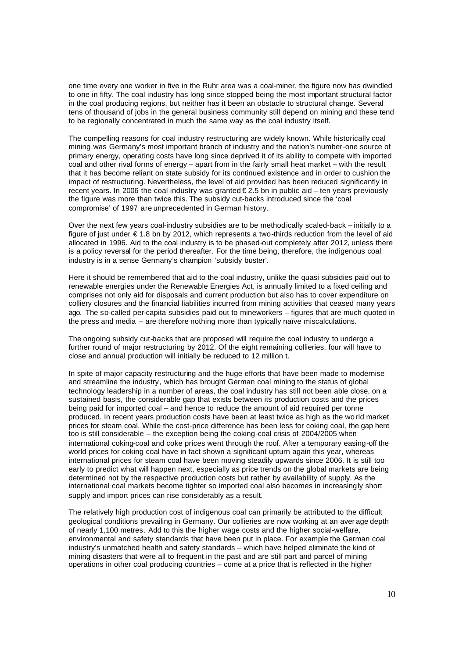one time every one worker in five in the Ruhr area was a coal-miner, the figure now has dwindled to one in fifty. The coal industry has long since stopped being the most important structural factor in the coal producing regions, but neither has it been an obstacle to structural change. Several tens of thousand of jobs in the general business community still depend on mining and these tend to be regionally concentrated in much the same way as the coal industry itself.

The compelling reasons for coal industry restructuring are widely known. While historically coal mining was Germany's most important branch of industry and the nation's number-one source of primary energy, operating costs have long since deprived it of its ability to compete with imported coal and other rival forms of energy – apart from in the fairly small heat market – with the result that it has become reliant on state subsidy for its continued existence and in order to cushion the impact of restructuring. Nevertheless, the level of aid provided has been reduced significantly in recent years. In 2006 the coal industry was granted € 2.5 bn in public aid – ten years previously the figure was more than twice this. The subsidy cut-backs introduced since the 'coal compromise' of 1997 are unprecedented in German history.

Over the next few years coal-industry subsidies are to be methodically scaled-back – initially to a figure of just under € 1.8 bn by 2012, which represents a two-thirds reduction from the level of aid allocated in 1996. Aid to the coal industry is to be phased-out completely after 2012, unless there is a policy reversal for the period thereafter. For the time being, therefore, the indigenous coal industry is in a sense Germany's champion 'subsidy buster'.

Here it should be remembered that aid to the coal industry, unlike the quasi subsidies paid out to renewable energies under the Renewable Energies Act, is annually limited to a fixed ceiling and comprises not only aid for disposals and current production but also has to cover expenditure on colliery closures and the financial liabilities incurred from mining activities that ceased many years ago. The so-called per-capita subsidies paid out to mineworkers – figures that are much quoted in the press and media – are therefore nothing more than typically naïve miscalculations.

The ongoing subsidy cut-backs that are proposed will require the coal industry to undergo a further round of major restructuring by 2012. Of the eight remaining collieries, four will have to close and annual production will initially be reduced to 12 million t.

In spite of major capacity restructuring and the huge efforts that have been made to modernise and streamline the industry, which has brought German coal mining to the status of global technology leadership in a number of areas, the coal industry has still not been able close, on a sustained basis, the considerable gap that exists between its production costs and the prices being paid for imported coal – and hence to reduce the amount of aid required per tonne produced. In recent years production costs have been at least twice as high as the wo rld market prices for steam coal. While the cost-price difference has been less for coking coal, the gap here too is still considerable – the exception being the coking-coal crisis of 2004/2005 when international coking-coal and coke prices went through the roof. After a temporary easing-off the world prices for coking coal have in fact shown a significant upturn again this year, whereas international prices for steam coal have been moving steadily upwards since 2006. It is still too early to predict what will happen next, especially as price trends on the global markets are being determined not by the respective production costs but rather by availability of supply. As the international coal markets become tighter so imported coal also becomes in increasingly short supply and import prices can rise considerably as a result.

The relatively high production cost of indigenous coal can primarily be attributed to the difficult geological conditions prevailing in Germany. Our collieries are now working at an aver age depth of nearly 1,100 metres. Add to this the higher wage costs and the higher social-welfare, environmental and safety standards that have been put in place. For example the German coal industry's unmatched health and safety standards – which have helped eliminate the kind of mining disasters that were all to frequent in the past and are still part and parcel of mining operations in other coal producing countries – come at a price that is reflected in the higher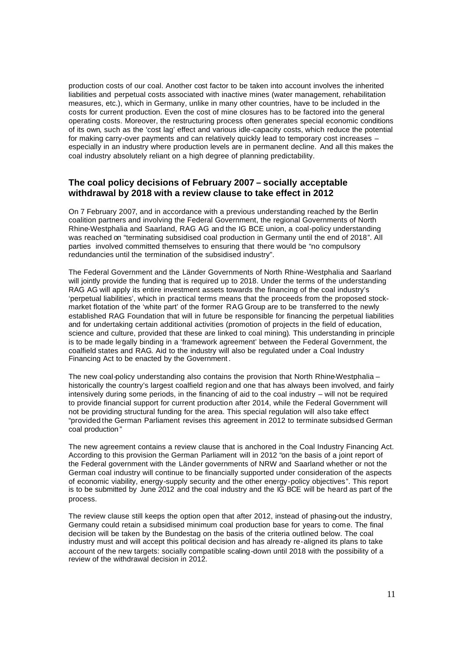production costs of our coal. Another cost factor to be taken into account involves the inherited liabilities and perpetual costs associated with inactive mines (water management, rehabilitation measures, etc.), which in Germany, unlike in many other countries, have to be included in the costs for current production. Even the cost of mine closures has to be factored into the general operating costs. Moreover, the restructuring process often generates special economic conditions of its own, such as the 'cost lag' effect and various idle-capacity costs, which reduce the potential for making carry-over payments and can relatively quickly lead to temporary cost increases – especially in an industry where production levels are in permanent decline. And all this makes the coal industry absolutely reliant on a high degree of planning predictability.

# **The coal policy decisions of February 2007 – socially acceptable withdrawal by 2018 with a review clause to take effect in 2012**

On 7 February 2007, and in accordance with a previous understanding reached by the Berlin coalition partners and involving the Federal Government, the regional Governments of North Rhine-Westphalia and Saarland, RAG AG and the IG BCE union, a coal-policy understanding was reached on "terminating subsidised coal production in Germany until the end of 2018". All parties involved committed themselves to ensuring that there would be "no compulsory redundancies until the termination of the subsidised industry".

The Federal Government and the Länder Governments of North Rhine-Westphalia and Saarland will jointly provide the funding that is required up to 2018. Under the terms of the understanding RAG AG will apply its entire investment assets towards the financing of the coal industry's 'perpetual liabilities', which in practical terms means that the proceeds from the proposed stockmarket flotation of the 'white part' of the former RAG Group are to be transferred to the newly established RAG Foundation that will in future be responsible for financing the perpetual liabilities and for undertaking certain additional activities (promotion of projects in the field of education, science and culture, provided that these are linked to coal mining). This understanding in principle is to be made legally binding in a 'framework agreement' between the Federal Government, the coalfield states and RAG. Aid to the industry will also be regulated under a Coal Industry Financing Act to be enacted by the Government .

The new coal-policy understanding also contains the provision that North Rhine-Westphalia historically the country's largest coalfield region and one that has always been involved, and fairly intensively during some periods, in the financing of aid to the coal industry – will not be required to provide financial support for current production after 2014, while the Federal Government will not be providing structural funding for the area. This special regulation will also take effect "provided the German Parliament revises this agreement in 2012 to terminate subsidsed German coal production "

The new agreement contains a review clause that is anchored in the Coal Industry Financing Act. According to this provision the German Parliament will in 2012 "on the basis of a joint report of the Federal government with the Länder governments of NRW and Saarland whether or not the German coal industry will continue to be financially supported under consideration of the aspects of economic viability, energy-supply security and the other energy-policy objectives". This report is to be submitted by June 2012 and the coal industry and the IG BCE will be heard as part of the process.

The review clause still keeps the option open that after 2012, instead of phasing-out the industry, Germany could retain a subsidised minimum coal production base for years to come. The final decision will be taken by the Bundestag on the basis of the criteria outlined below. The coal industry must and will accept this political decision and has already re-aligned its plans to take account of the new targets: socially compatible scaling-down until 2018 with the possibility of a review of the withdrawal decision in 2012.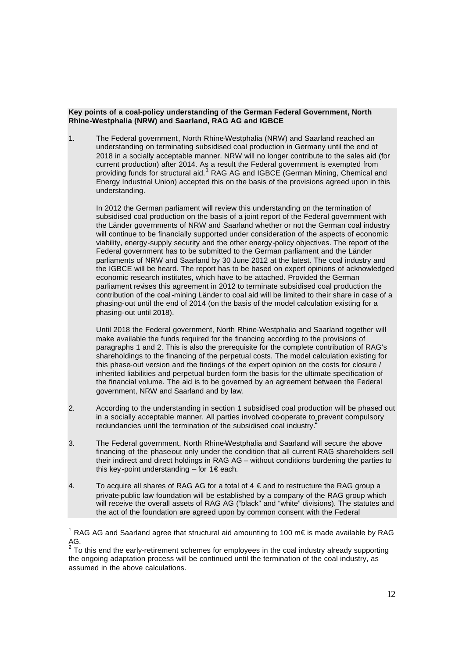#### **Key points of a coal-policy understanding of the German Federal Government, North Rhine-Westphalia (NRW) and Saarland, RAG AG and IGBCE**

1. The Federal government, North Rhine-Westphalia (NRW) and Saarland reached an understanding on terminating subsidised coal production in Germany until the end of 2018 in a socially acceptable manner. NRW will no longer contribute to the sales aid (for current production) after 2014. As a result the Federal government is exempted from providing funds for structural aid.<sup>1</sup> RAG AG and IGBCE (German Mining, Chemical and Energy Industrial Union) accepted this on the basis of the provisions agreed upon in this understanding.

In 2012 the German parliament will review this understanding on the termination of subsidised coal production on the basis of a joint report of the Federal government with the Länder governments of NRW and Saarland whether or not the German coal industry will continue to be financially supported under consideration of the aspects of economic viability, energy-supply security and the other energy-policy objectives. The report of the Federal government has to be submitted to the German parliament and the Länder parliaments of NRW and Saarland by 30 June 2012 at the latest. The coal industry and the IGBCE will be heard. The report has to be based on expert opinions of acknowledged economic research institutes, which have to be attached. Provided the German parliament revises this agreement in 2012 to terminate subsidised coal production the contribution of the coal-mining Länder to coal aid will be limited to their share in case of a phasing-out until the end of 2014 (on the basis of the model calculation existing for a phasing-out until 2018).

Until 2018 the Federal government, North Rhine-Westphalia and Saarland together will make available the funds required for the financing according to the provisions of paragraphs 1 and 2. This is also the prerequisite for the complete contribution of RAG's shareholdings to the financing of the perpetual costs. The model calculation existing for this phase-out version and the findings of the expert opinion on the costs for closure / inherited liabilities and perpetual burden form the basis for the ultimate specification of the financial volume. The aid is to be governed by an agreement between the Federal government, NRW and Saarland and by law.

- 2. According to the understanding in section 1 subsidised coal production will be phased out in a socially acceptable manner. All parties involved co-operate to prevent compulsory redundancies until the termination of the subsidised coal industry.<sup>2</sup>
- 3. The Federal government, North Rhine-Westphalia and Saarland will secure the above financing of the phaseout only under the condition that all current RAG shareholders sell their indirect and direct holdings in RAG AG – without conditions burdening the parties to this key-point understanding – for  $1 \in$  each.
- 4. To acquire all shares of RAG AG for a total of  $4 \text{ } \in$  and to restructure the RAG group a private-public law foundation will be established by a company of the RAG group which will receive the overall assets of RAG AG ("black" and "white" divisions). The statutes and the act of the foundation are agreed upon by common consent with the Federal

<sup>1</sup> RAG AG and Saarland agree that structural aid amounting to 100 m€ is made available by RAG АG.<br><sup>2</sup> т.

To this end the early-retirement schemes for employees in the coal industry already supporting the ongoing adaptation process will be continued until the termination of the coal industry, as assumed in the above calculations.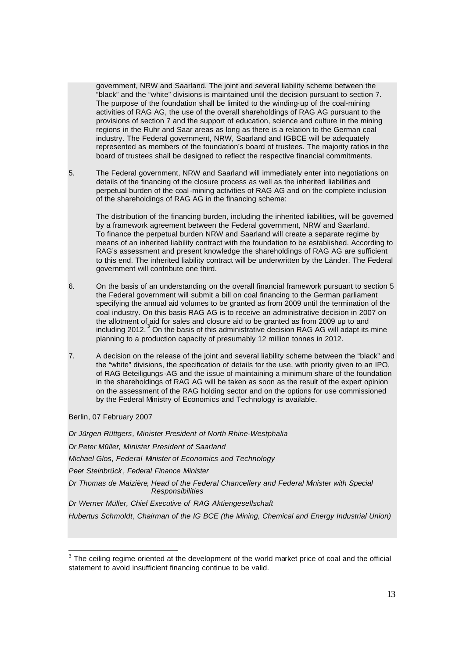government, NRW and Saarland. The joint and several liability scheme between the "black" and the "white" divisions is maintained until the decision pursuant to section 7. The purpose of the foundation shall be limited to the winding-up of the coal-mining activities of RAG AG, the use of the overall shareholdings of RAG AG pursuant to the provisions of section 7 and the support of education, science and culture in the mining regions in the Ruhr and Saar areas as long as there is a relation to the German coal industry. The Federal government, NRW, Saarland and IGBCE will be adequately represented as members of the foundation's board of trustees. The majority ratios in the board of trustees shall be designed to reflect the respective financial commitments.

5. The Federal government, NRW and Saarland will immediately enter into negotiations on details of the financing of the closure process as well as the inherited liabilities and perpetual burden of the coal-mining activities of RAG AG and on the complete inclusion of the shareholdings of RAG AG in the financing scheme:

The distribution of the financing burden, including the inherited liabilities, will be governed by a framework agreement between the Federal government, NRW and Saarland. To finance the perpetual burden NRW and Saarland will create a separate regime by means of an inherited liability contract with the foundation to be established. According to RAG's assessment and present knowledge the shareholdings of RAG AG are sufficient to this end. The inherited liability contract will be underwritten by the Länder. The Federal government will contribute one third.

- 6. On the basis of an understanding on the overall financial framework pursuant to section 5 the Federal government will submit a bill on coal financing to the German parliament specifying the annual aid volumes to be granted as from 2009 until the termination of the coal industry. On this basis RAG AG is to receive an administrative decision in 2007 on the allotment of aid for sales and closure aid to be granted as from 2009 up to and including 2012.<sup>3</sup> On the basis of this administrative decision RAG AG will adapt its mine planning to a production capacity of presumably 12 million tonnes in 2012.
- 7. A decision on the release of the joint and several liability scheme between the "black" and the "white" divisions, the specification of details for the use, with priority given to an IPO, of RAG Beteiligungs -AG and the issue of maintaining a minimum share of the foundation in the shareholdings of RAG AG will be taken as soon as the result of the expert opinion on the assessment of the RAG holding sector and on the options for use commissioned by the Federal Ministry of Economics and Technology is available.

Berlin, 07 February 2007

*Dr Jürgen Rüttgers, Minister President of North Rhine-Westphalia Dr Peter Müller, Minister President of Saarland Michael Glos, Federal Minister of Economics and Technology Peer Steinbrück , Federal Finance Minister Dr Thomas de Maizière, Head of the Federal Chancellery and Federal Minister with Special Responsibilities Dr Werner Müller, Chief Executive of RAG Aktiengesellschaft Hubertus Schmoldt, Chairman of the IG BCE (the Mining, Chemical and Energy Industrial Union)*

  $3$  The ceiling regime oriented at the development of the world market price of coal and the official statement to avoid insufficient financing continue to be valid.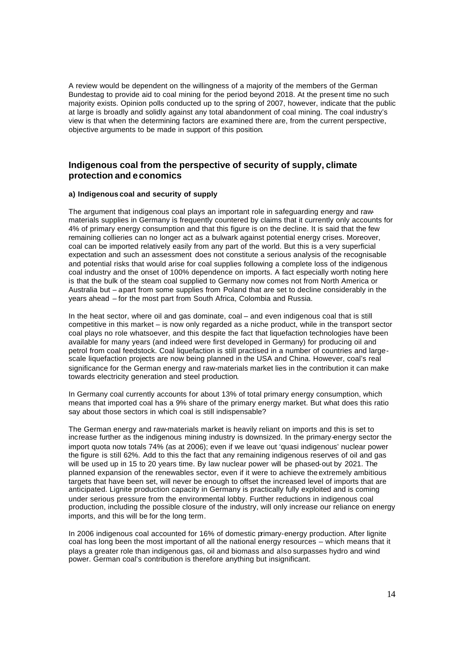A review would be dependent on the willingness of a majority of the members of the German Bundestag to provide aid to coal mining for the period beyond 2018. At the present time no such majority exists. Opinion polls conducted up to the spring of 2007, however, indicate that the public at large is broadly and solidly against any total abandonment of coal mining. The coal industry's view is that when the determining factors are examined there are, from the current perspective, objective arguments to be made in support of this position.

# **Indigenous coal from the perspective of security of supply, climate protection and economics**

#### **a) Indigenous coal and security of supply**

The argument that indigenous coal plays an important role in safeguarding energy and rawmaterials supplies in Germany is frequently countered by claims that it currently only accounts for 4% of primary energy consumption and that this figure is on the decline. It is said that the few remaining collieries can no longer act as a bulwark against potential energy crises. Moreover, coal can be imported relatively easily from any part of the world. But this is a very superficial expectation and such an assessment does not constitute a serious analysis of the recognisable and potential risks that would arise for coal supplies following a complete loss of the indigenous coal industry and the onset of 100% dependence on imports. A fact especially worth noting here is that the bulk of the steam coal supplied to Germany now comes not from North America or Australia but – apart from some supplies from Poland that are set to decline considerably in the years ahead – for the most part from South Africa, Colombia and Russia.

In the heat sector, where oil and gas dominate, coal – and even indigenous coal that is still competitive in this market – is now only regarded as a niche product, while in the transport sector coal plays no role whatsoever, and this despite the fact that liquefaction technologies have been available for many years (and indeed were first developed in Germany) for producing oil and petrol from coal feedstock. Coal liquefaction is still practised in a number of countries and largescale liquefaction projects are now being planned in the USA and China. However, coal's real significance for the German energy and raw-materials market lies in the contribution it can make towards electricity generation and steel production.

In Germany coal currently accounts for about 13% of total primary energy consumption, which means that imported coal has a 9% share of the primary energy market. But what does this ratio say about those sectors in which coal is still indispensable?

The German energy and raw-materials market is heavily reliant on imports and this is set to increase further as the indigenous mining industry is downsized. In the primary-energy sector the import quota now totals 74% (as at 2006); even if we leave out 'quasi indigenous' nuclear power the figure is still 62%. Add to this the fact that any remaining indigenous reserves of oil and gas will be used up in 15 to 20 years time. By law nuclear power will be phased-out by 2021. The planned expansion of the renewables sector, even if it were to achieve the extremely ambitious targets that have been set, will never be enough to offset the increased level of imports that are anticipated. Lignite production capacity in Germany is practically fully exploited and is coming under serious pressure from the environmental lobby. Further reductions in indigenous coal production, including the possible closure of the industry, will only increase our reliance on energy imports, and this will be for the long term.

In 2006 indigenous coal accounted for 16% of domestic primary-energy production. After lignite coal has long been the most important of all the national energy resources – which means that it plays a greater role than indigenous gas, oil and biomass and also surpasses hydro and wind power. German coal's contribution is therefore anything but insignificant.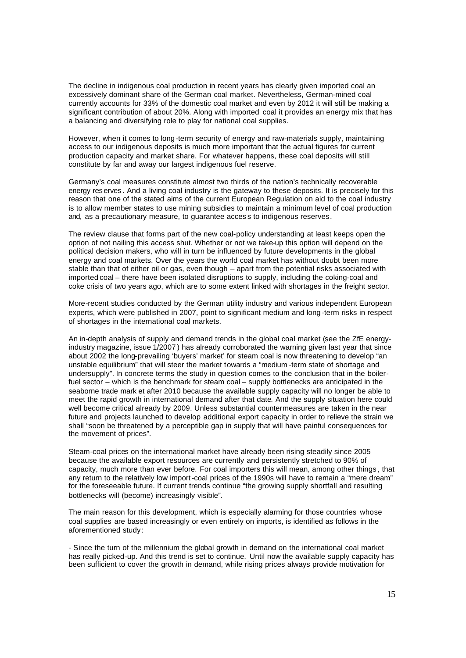The decline in indigenous coal production in recent years has clearly given imported coal an excessively dominant share of the German coal market. Nevertheless, German-mined coal currently accounts for 33% of the domestic coal market and even by 2012 it will still be making a significant contribution of about 20%. Along with imported coal it provides an energy mix that has a balancing and diversifying role to play for national coal supplies.

However, when it comes to long -term security of energy and raw-materials supply, maintaining access to our indigenous deposits is much more important that the actual figures for current production capacity and market share. For whatever happens, these coal deposits will still constitute by far and away our largest indigenous fuel reserve.

Germany's coal measures constitute almost two thirds of the nation's technically recoverable energy res erves . And a living coal industry is the gateway to these deposits. It is precisely for this reason that one of the stated aims of the current European Regulation on aid to the coal industry is to allow member states to use mining subsidies to maintain a minimum level of coal production and, as a precautionary measure, to guarantee acces s to indigenous reserves.

The review clause that forms part of the new coal-policy understanding at least keeps open the option of not nailing this access shut. Whether or not we take-up this option will depend on the political decision makers, who will in turn be influenced by future developments in the global energy and coal markets. Over the years the world coal market has without doubt been more stable than that of either oil or gas, even though – apart from the potential risks associated with imported coal – there have been isolated disruptions to supply, including the coking-coal and coke crisis of two years ago, which are to some extent linked with shortages in the freight sector.

More-recent studies conducted by the German utility industry and various independent European experts, which were published in 2007, point to significant medium and long -term risks in respect of shortages in the international coal markets.

An in-depth analysis of supply and demand trends in the global coal market (see the ZfE energyindustry magazine, issue 1/2007 ) has already corroborated the warning given last year that since about 2002 the long-prevailing 'buyers' market' for steam coal is now threatening to develop "an unstable equilibrium" that will steer the market towards a "medium -term state of shortage and undersupply". In concrete terms the study in question comes to the conclusion that in the boilerfuel sector – which is the benchmark for steam coal – supply bottlenecks are anticipated in the seaborne trade mark et after 2010 because the available supply capacity will no longer be able to meet the rapid growth in international demand after that date. And the supply situation here could well become critical already by 2009. Unless substantial countermeasures are taken in the near future and projects launched to develop additional export capacity in order to relieve the strain we shall "soon be threatened by a perceptible gap in supply that will have painful consequences for the movement of prices".

Steam-coal prices on the international market have already been rising steadily since 2005 because the available export resources are currently and persistently stretched to 90% of capacity, much more than ever before. For coal importers this will mean, among other things , that any return to the relatively low import-coal prices of the 1990s will have to remain a "mere dream" for the foreseeable future. If current trends continue "the growing supply shortfall and resulting bottlenecks will (become) increasingly visible".

The main reason for this development, which is especially alarming for those countries whose coal supplies are based increasingly or even entirely on imports, is identified as follows in the aforementioned study:

- Since the turn of the millennium the global growth in demand on the international coal market has really picked-up. And this trend is set to continue. Until now the available supply capacity has been sufficient to cover the growth in demand, while rising prices always provide motivation for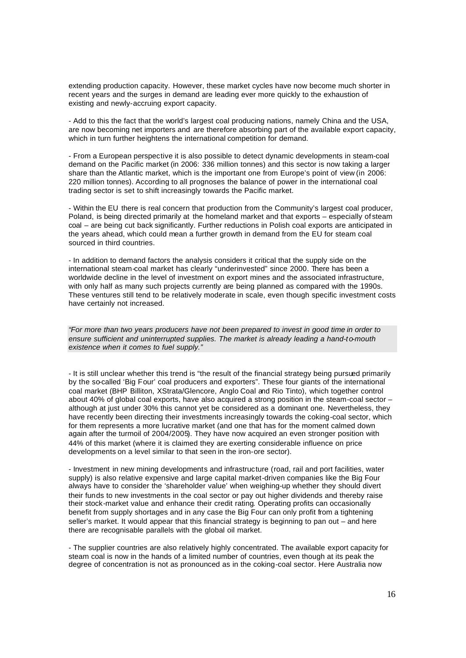extending production capacity. However, these market cycles have now become much shorter in recent years and the surges in demand are leading ever more quickly to the exhaustion of existing and newly-accruing export capacity.

- Add to this the fact that the world's largest coal producing nations, namely China and the USA, are now becoming net importers and are therefore absorbing part of the available export capacity, which in turn further heightens the international competition for demand.

- From a European perspective it is also possible to detect dynamic developments in steam-coal demand on the Pacific market (in 2006: 336 million tonnes) and this sector is now taking a larger share than the Atlantic market, which is the important one from Europe's point of view (in 2006: 220 million tonnes). According to all prognoses the balance of power in the international coal trading sector is set to shift increasingly towards the Pacific market.

- Within the EU there is real concern that production from the Community's largest coal producer, Poland, is being directed primarily at the homeland market and that exports – especially of steam coal – are being cut back significantly. Further reductions in Polish coal exports are anticipated in the years ahead, which could mean a further growth in demand from the EU for steam coal sourced in third countries.

- In addition to demand factors the analysis considers it critical that the supply side on the international steam-coal market has clearly "underinvested" since 2000. There has been a worldwide decline in the level of investment on export mines and the associated infrastructure, with only half as many such projects currently are being planned as compared with the 1990s. These ventures still tend to be relatively moderate in scale, even though specific investment costs have certainly not increased.

*"For more than two years producers have not been prepared to invest in good time in order to ensure sufficient and uninterrupted supplies. The market is already leading a hand-to-mouth existence when it comes to fuel supply."*

- It is still unclear whether this trend is "the result of the financial strategy being pursued primarily by the so-called 'Big Four' coal producers and exporters". These four giants of the international coal market (BHP Billiton, XStrata/Glencore, Anglo Coal and Rio Tinto), which together control about 40% of global coal exports, have also acquired a strong position in the steam-coal sector – although at just under 30% this cannot yet be considered as a dominant one. Nevertheless, they have recently been directing their investments increasingly towards the coking-coal sector, which for them represents a more lucrative market (and one that has for the moment calmed down again after the turmoil of 2004/2005). They have now acquired an even stronger position with 44% of this market (where it is claimed they are exerting considerable influence on price developments on a level similar to that seen in the iron-ore sector).

- Investment in new mining developments and infrastructure (road, rail and port facilities, water supply) is also relative expensive and large capital market-driven companies like the Big Four always have to consider the 'shareholder value' when weighing-up whether they should divert their funds to new investments in the coal sector or pay out higher dividends and thereby raise their stock-market value and enhance their credit rating. Operating profits can occasionally benefit from supply shortages and in any case the Big Four can only profit from a tightening seller's market. It would appear that this financial strategy is beginning to pan out – and here there are recognisable parallels with the global oil market.

- The supplier countries are also relatively highly concentrated. The available export capacity for steam coal is now in the hands of a limited number of countries, even though at its peak the degree of concentration is not as pronounced as in the coking-coal sector. Here Australia now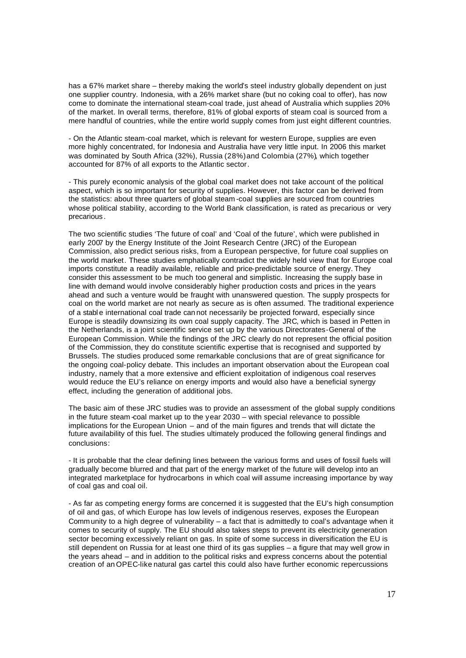has a 67% market share – thereby making the world's steel industry globally dependent on just one supplier country. Indonesia, with a 26% market share (but no coking coal to offer), has now come to dominate the international steam-coal trade, just ahead of Australia which supplies 20% of the market. In overall terms, therefore, 81% of global exports of steam coal is sourced from a mere handful of countries, while the entire world supply comes from just eight different countries.

- On the Atlantic steam-coal market, which is relevant for western Europe, supplies are even more highly concentrated, for Indonesia and Australia have very little input. In 2006 this market was dominated by South Africa (32%), Russia (28%) and Colombia (27%), which together accounted for 87% of all exports to the Atlantic sector.

- This purely economic analysis of the global coal market does not take account of the political aspect, which is so important for security of supplies. However, this factor can be derived from the statistics: about three quarters of global steam -coal supplies are sourced from countries whose political stability, according to the World Bank classification, is rated as precarious or very precarious .

The two scientific studies 'The future of coal' and 'Coal of the future', which were published in early 2007 by the Energy Institute of the Joint Research Centre (JRC) of the European Commission, also predict serious risks, from a European perspective, for future coal supplies on the world market. These studies emphatically contradict the widely held view that for Europe coal imports constitute a readily available, reliable and price-predictable source of energy. They consider this assessment to be much too general and simplistic. Increasing the supply base in line with demand would involve considerably higher production costs and prices in the years ahead and such a venture would be fraught with unanswered question. The supply prospects for coal on the world market are not nearly as secure as is often assumed. The traditional experience of a stable international coal trade can not necessarily be projected forward, especially since Europe is steadily downsizing its own coal supply capacity. The JRC, which is based in Petten in the Netherlands, is a joint scientific service set up by the various Directorates-General of the European Commission. While the findings of the JRC clearly do not represent the official position of the Commission, they do constitute scientific expertise that is recognised and supported by Brussels. The studies produced some remarkable conclusions that are of great significance for the ongoing coal-policy debate. This includes an important observation about the European coal industry, namely that a more extensive and efficient exploitation of indigenous coal reserves would reduce the EU's reliance on energy imports and would also have a beneficial synergy effect, including the generation of additional jobs.

The basic aim of these JRC studies was to provide an assessment of the global supply conditions in the future steam -coal market up to the year 2030 – with special relevance to possible implications for the European Union – and of the main figures and trends that will dictate the future availability of this fuel. The studies ultimately produced the following general findings and conclusions:

- It is probable that the clear defining lines between the various forms and uses of fossil fuels will gradually become blurred and that part of the energy market of the future will develop into an integrated marketplace for hydrocarbons in which coal will assume increasing importance by way of coal gas and coal oil.

- As far as competing energy forms are concerned it is suggested that the EU's high consumption of oil and gas, of which Europe has low levels of indigenous reserves, exposes the European Community to a high degree of vulnerability – a fact that is admittedly to coal's advantage when it comes to security of supply. The EU should also takes steps to prevent its electricity generation sector becoming excessively reliant on gas. In spite of some success in diversification the EU is still dependent on Russia for at least one third of its gas supplies – a figure that may well grow in the years ahead – and in addition to the political risks and express concerns about the potential creation of an OPEC-like natural gas cartel this could also have further economic repercussions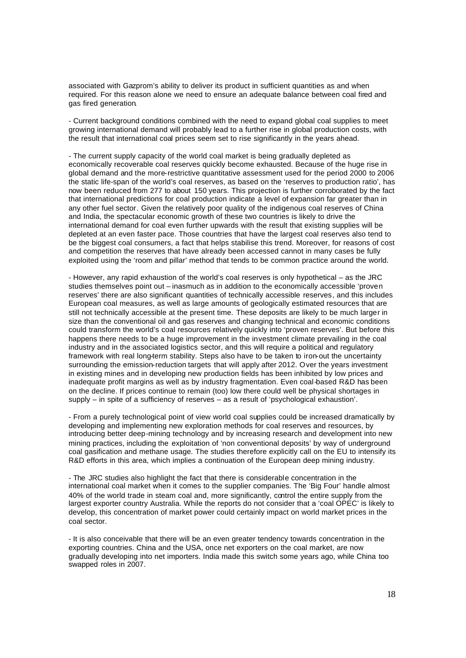associated with Gazprom's ability to deliver its product in sufficient quantities as and when required. For this reason alone we need to ensure an adequate balance between coal fired and gas fired generation.

- Current background conditions combined with the need to expand global coal supplies to meet growing international demand will probably lead to a further rise in global production costs, with the result that international coal prices seem set to rise significantly in the years ahead.

- The current supply capacity of the world coal market is being gradually depleted as economically recoverable coal reserves quickly become exhausted. Because of the huge rise in global demand and the more-restrictive quantitative assessment used for the period 2000 to 2006 the static life-span of the world's coal reserves, as based on the 'reserves to production ratio', has now been reduced from 277 to about 150 years. This projection is further corroborated by the fact that international predictions for coal production indicate a level of expansion far greater than in any other fuel sector. Given the relatively poor quality of the indigenous coal reserves of China and India, the spectacular economic growth of these two countries is likely to drive the international demand for coal even further upwards with the result that existing supplies will be depleted at an even faster pace. Those countries that have the largest coal reserves also tend to be the biggest coal consumers, a fact that helps stabilise this trend. Moreover, for reasons of cost and competition the reserves that have already been accessed cannot in many cases be fully exploited using the 'room and pillar' method that tends to be common practice around the world.

- However, any rapid exhaustion of the world's coal reserves is only hypothetical – as the JRC studies themselves point out – inasmuch as in addition to the economically accessible 'proven reserves' there are also significant quantities of technically accessible reserves, and this includes European coal measures, as well as large amounts of geologically estimated resources that are still not technically accessible at the present time. These deposits are likely to be much larger in size than the conventional oil and gas reserves and changing technical and economic conditions could transform the world's coal resources relatively quickly into 'proven reserves'. But before this happens there needs to be a huge improvement in the investment climate prevailing in the coal industry and in the associated logistics sector, and this will require a political and regulatory framework with real long-term stability. Steps also have to be taken to iron-out the uncertainty surrounding the emission-reduction targets that will apply after 2012. Over the years investment in existing mines and in developing new production fields has been inhibited by low prices and inadequate profit margins as well as by industry fragmentation. Even coal-based R&D has been on the decline. If prices continue to remain (too) low there could well be physical shortages in supply – in spite of a sufficiency of reserves – as a result of 'psychological exhaustion'.

- From a purely technological point of view world coal supplies could be increased dramatically by developing and implementing new exploration methods for coal reserves and resources, by introducing better deep-mining technology and by increasing research and development into new mining practices, including the exploitation of 'non conventional deposits' by way of underground coal gasification and methane usage. The studies therefore explicitly call on the EU to intensify its R&D efforts in this area, which implies a continuation of the European deep mining industry.

- The JRC studies also highlight the fact that there is considerable concentration in the international coal market when it comes to the supplier companies. The 'Big Four' handle almost 40% of the world trade in steam coal and, more significantly, control the entire supply from the largest exporter country Australia. While the reports do not consider that a 'coal OPEC' is likely to develop, this concentration of market power could certainly impact on world market prices in the coal sector.

- It is also conceivable that there will be an even greater tendency towards concentration in the exporting countries. China and the USA, once net exporters on the coal market, are now gradually developing into net importers. India made this switch some years ago, while China too swapped roles in 2007.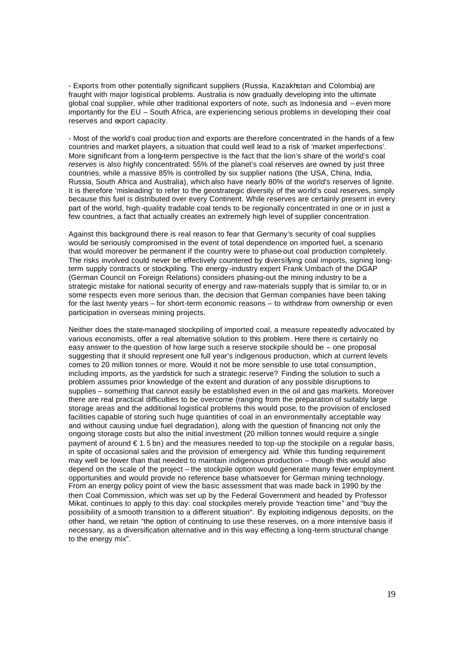- Exports from other potentially significant suppliers (Russia, Kazakhstan and Colombia) are fraught with major logistical problems. Australia is now gradually developing into the ultimate global coal supplier, while other traditional exporters of note, such as Indonesia and – even more importantly for the EU – South Africa, are experiencing serious problems in developing their coal reserves and export capacity.

- Most of the world's coal produc tion and exports are therefore concentrated in the hands of a few countries and market players, a situation that could well lead to a risk of 'market imperfections'. More significant from a long-term perspective is the fact that the lion's share of the world's coal *reserves* is also highly concentrated: 55% of the planet's coal reserves are owned by just three countries, while a massive 85% is controlled by six supplier nations (the USA, China, India, Russia, South Africa and Australia), which also have nearly 80% of the world's reserves of lignite. It is therefore 'misleading' to refer to the geostrategic diversity of the world's coal reserves, simply because this fuel is distributed over every Continent. While reserves are certainly present in every part of the world, high -quality tradable coal tends to be regionally concentrated in one or in just a few countries, a fact that actually creates an extremely high level of supplier concentration.

Against this background there is real reason to fear that Germany's security of coal supplies would be seriously compromised in the event of total dependence on imported fuel, a scenario that would moreover be permanent if the country were to phase-out coal production completely. The risks involved could never be effectively countered by diversifying coal imports, signing longterm supply contracts or stockpiling. The energy -industry expert Frank Umbach of the DGAP (German Council on Foreign Relations) considers phasing-out the mining industry to be a strategic mistake for national security of energy and raw-materials supply that is similar to, or in some respects even more serious than, the decision that German companies have been taking for the last twenty years – for short-term economic reasons – to withdraw from ownership or even participation in overseas mining projects.

Neither does the state-managed stockpiling of imported coal, a measure repeatedly advocated by various economists, offer a real alternative solution to this problem. Here there is certainly no easy answer to the question of how large such a reserve stockpile should be – one proposal suggesting that it should represent one full year's indigenous production, which at current levels comes to 20 million tonnes or more. Would it not be more sensible to use total consumption, including imports, as the yardstick for such a strategic reserve? Finding the solution to such a problem assumes prior knowledge of the extent and duration of any possible disruptions to supplies – something that cannot easily be established even in the oil and gas markets. Moreover there are real practical difficulties to be overcome (ranging from the preparation of suitably large storage areas and the additional logistical problems this would pose, to the provision of enclosed facilities capable of storing such huge quantities of coal in an environmentally acceptable way and without causing undue fuel degradation), along with the question of financing not only the ongoing storage costs but also the initial investment (20 million tonnes would require a single payment of around  $\epsilon$  1.5 bn) and the measures needed to top-up the stockpile on a regular basis. in spite of occasional sales and the provision of emergency aid. While this funding requirement may well be lower than that needed to maintain indigenous production – though this would also depend on the scale of the project – the stockpile option would generate many fewer employment opportunities and would provide no reference base whatsoever for German mining technology. From an energy policy point of view the basic assessment that was made back in 1990 by the then Coal Commission, which was set up by the Federal Government and headed by Professor Mikat, continues to apply to this day: coal stockpiles merely provide "reaction time" and "buy the possibility of a smooth transition to a different situation". By exploiting indigenous deposits, on the other hand, we retain "the option of continuing to use these reserves, on a more intensive basis if necessary, as a diversification alternative and in this way effecting a long-term structural change to the energy mix".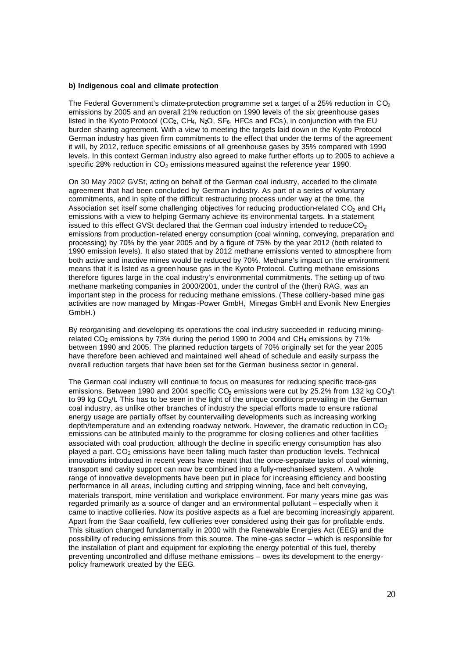#### **b) Indigenous coal and climate protection**

The Federal Government's climate-protection programme set a target of a 25% reduction in  $CO<sub>2</sub>$ emissions by 2005 and an overall 21% reduction on 1990 levels of the six greenhouse gases listed in the Kyoto Protocol ( $CO<sub>2</sub>$ ,  $CH<sub>4</sub>$ , N<sub>2</sub>O, SF<sub>6</sub>, HFCs and FCs), in conjunction with the EU burden sharing agreement. With a view to meeting the targets laid down in the Kyoto Protocol German industry has given firm commitments to the effect that under the terms of the agreement it will, by 2012, reduce specific emissions of all greenhouse gases by 35% compared with 1990 levels. In this context German industry also agreed to make further efforts up to 2005 to achieve a specific 28% reduction in  $CO<sub>2</sub>$  emissions measured against the reference year 1990.

On 30 May 2002 GVSt, acting on behalf of the German coal industry, acceded to the climate agreement that had been concluded by German industry. As part of a series of voluntary commitments, and in spite of the difficult restructuring process under way at the time, the Association set itself some challenging objectives for reducing production-related CO<sub>2</sub> and CH<sub>4</sub> emissions with a view to helping Germany achieve its environmental targets. In a statement issued to this effect GVSt declared that the German coal industry intended to reduce  $CO<sub>2</sub>$ emissions from production-related energy consumption (coal winning, conveying, preparation and processing) by 70% by the year 2005 and by a figure of 75% by the year 2012 (both related to 1990 emission levels). It also stated that by 2012 methane emissions vented to atmosphere from both active and inactive mines would be reduced by 70%. Methane's impact on the environment means that it is listed as a green house gas in the Kyoto Protocol. Cutting methane emissions therefore figures large in the coal industry's environmental commitments. The setting-up of two methane marketing companies in 2000/2001, under the control of the (then) RAG, was an important step in the process for reducing methane emissions. (These colliery-based mine gas activities are now managed by Mingas-Power GmbH, Minegas GmbH and Evonik New Energies GmbH.)

By reorganising and developing its operations the coal industry succeeded in reducing miningrelated CO<sub>2</sub> emissions by 73% during the period 1990 to 2004 and CH<sub>4</sub> emissions by 71% between 1990 and 2005. The planned reduction targets of 70% originally set for the vear 2005 have therefore been achieved and maintained well ahead of schedule and easily surpass the overall reduction targets that have been set for the German business sector in general.

The German coal industry will continue to focus on measures for reducing specific trace-gas emissions. Between 1990 and 2004 specific CO<sub>2</sub> emissions were cut by 25.2% from 132 kg CO<sub>2</sub>/t to 99 kg CO<sub>2</sub>/t. This has to be seen in the light of the unique conditions prevailing in the German coal industry, as unlike other branches of industry the special efforts made to ensure rational energy usage are partially offset by countervailing developments such as increasing working depth/temperature and an extending roadway network. However, the dramatic reduction in  $CO<sub>2</sub>$ emissions can be attributed mainly to the programme for closing collieries and other facilities associated with coal production, although the decline in specific energy consumption has also played a part.  $CO<sub>2</sub>$  emissions have been falling much faster than production levels. Technical innovations introduced in recent years have meant that the once-separate tasks of coal winning, transport and cavity support can now be combined into a fully-mechanised system . A whole range of innovative developments have been put in place for increasing efficiency and boosting performance in all areas, including cutting and stripping winning, face and belt conveying, materials transport, mine ventilation and workplace environment. For many years mine gas was regarded primarily as a source of danger and an environmental pollutant – especially when it came to inactive collieries. Now its positive aspects as a fuel are becoming increasingly apparent. Apart from the Saar coalfield, few collieries ever considered using their gas for profitable ends. This situation changed fundamentally in 2000 with the Renewable Energies Act (EEG) and the possibility of reducing emissions from this source. The mine -gas sector – which is responsible for the installation of plant and equipment for exploiting the energy potential of this fuel, thereby preventing uncontrolled and diffuse methane emissions – owes its development to the energypolicy framework created by the EEG.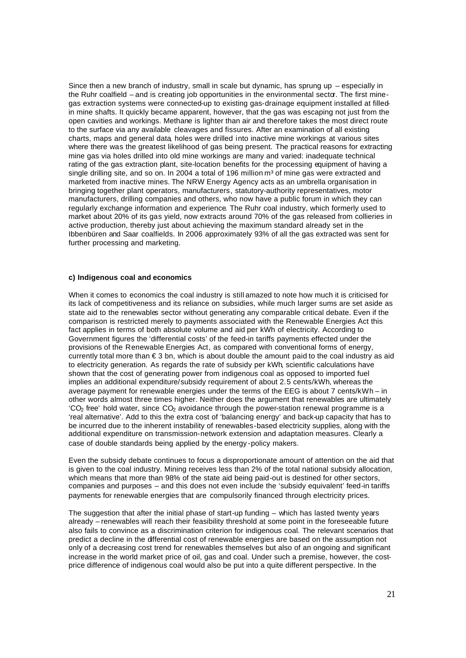Since then a new branch of industry, small in scale but dynamic, has sprung up – especially in the Ruhr coalfield – and is creating job opportunities in the environmental sector. The first minegas extraction systems were connected-up to existing gas-drainage equipment installed at filledin mine shafts. It quickly became apparent, however, that the gas was escaping not just from the open cavities and workings. Methane is lighter than air and therefore takes the most direct route to the surface via any available cleavages and fissures. After an examination of all existing charts, maps and general data, holes were drilled into inactive mine workings at various sites where there was the greatest likelihood of gas being present. The practical reasons for extracting mine gas via holes drilled into old mine workings are many and varied: inadequate technical rating of the gas extraction plant, site-location benefits for the processing equipment of having a single drilling site, and so on. In 2004 a total of 196 million  $m<sup>3</sup>$  of mine gas were extracted and marketed from inactive mines. The NRW Energy Agency acts as an umbrella organisation in bringing together plant operators, manufacturers, statutory-authority representatives, motor manufacturers, drilling companies and others, who now have a public forum in which they can regularly exchange information and experience. The Ruhr coal industry, which formerly used to market about 20% of its gas yield, now extracts around 70% of the gas released from collieries in active production, thereby just about achieving the maximum standard already set in the Ibbenbüren and Saar coalfields. In 2006 approximately 93% of all the gas extracted was sent for further processing and marketing.

#### **c) Indigenous coal and economics**

When it comes to economics the coal industry is still amazed to note how much it is criticised for its lack of competitiveness and its reliance on subsidies, while much larger sums are set aside as state aid to the renewables sector without generating any comparable critical debate. Even if the comparison is restricted merely to payments associated with the Renewable Energies Act this fact applies in terms of both absolute volume and aid per kWh of electricity. According to Government figures the 'differential costs' of the feed-in tariffs payments effected under the provisions of the Renewable Energies Act, as compared with conventional forms of energy, currently total more than € 3 bn, which is about double the amount paid to the coal industry as aid to electricity generation. As regards the rate of subsidy per kWh, scientific calculations have shown that the cost of generating power from indigenous coal as opposed to imported fuel implies an additional expenditure/subsidy requirement of about 2.5 cents/kWh, whereas the average payment for renewable energies under the terms of the EEG is about 7 cents/kWh – in other words almost three times higher. Neither does the argument that renewables are ultimately  $°CO<sub>2</sub>$  free' hold water, since  $CO<sub>2</sub>$  avoidance through the power-station renewal programme is a 'real alternative'. Add to this the extra cost of 'balancing energy' and back-up capacity that has to be incurred due to the inherent instability of renewables-based electricity supplies, along with the additional expenditure on transmission-network extension and adaptation measures. Clearly a case of double standards being applied by the energy -policy makers.

Even the subsidy debate continues to focus a disproportionate amount of attention on the aid that is given to the coal industry. Mining receives less than 2% of the total national subsidy allocation, which means that more than 98% of the state aid being paid-out is destined for other sectors, companies and purposes – and this does not even include the 'subsidy equivalent' feed-in tariffs payments for renewable energies that are compulsorily financed through electricity prices.

The suggestion that after the initial phase of start-up funding – which has lasted twenty years already – renewables will reach their feasibility threshold at some point in the foreseeable future also fails to convince as a discrimination criterion for indigenous coal. The relevant scenarios that predict a decline in the differential cost of renewable energies are based on the assumption not only of a decreasing cost trend for renewables themselves but also of an ongoing and significant increase in the world market price of oil, gas and coal. Under such a premise, however, the costprice difference of indigenous coal would also be put into a quite different perspective. In the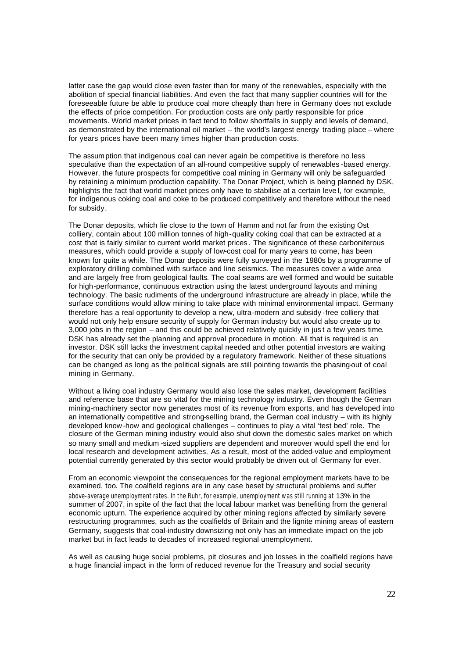latter case the gap would close even faster than for many of the renewables, especially with the abolition of special financial liabilities. And even the fact that many supplier countries will for the foreseeable future be able to produce coal more cheaply than here in Germany does not exclude the effects of price competition. For production costs are only partly responsible for price movements. World market prices in fact tend to follow shortfalls in supply and levels of demand, as demonstrated by the international oil market – the world's largest energy trading place – where for years prices have been many times higher than production costs.

The assum ption that indigenous coal can never again be competitive is therefore no less speculative than the expectation of an all-round competitive supply of renewables -based energy. However, the future prospects for competitive coal mining in Germany will only be safeguarded by retaining a minimum production capability. The Donar Project, which is being planned by DSK, highlights the fact that world market prices only have to stabilise at a certain leve l, for example, for indigenous coking coal and coke to be produced competitively and therefore without the need for subsidy.

The Donar deposits, which lie close to the town of Hamm and not far from the existing Ost colliery, contain about 100 million tonnes of high-quality coking coal that can be extracted at a cost that is fairly similar to current world market prices . The significance of these carboniferous measures, which could provide a supply of low-cost coal for many years to come, has been known for quite a while. The Donar deposits were fully surveyed in the 1980s by a programme of exploratory drilling combined with surface and line seismics. The measures cover a wide area and are largely free from geological faults. The coal seams are well formed and would be suitable for high-performance, continuous extraction using the latest underground layouts and mining technology. The basic rudiments of the underground infrastructure are already in place, while the surface conditions would allow mining to take place with minimal environmental impact. Germany therefore has a real opportunity to develop a new, ultra-modern and subsidy -free colliery that would not only help ensure security of supply for German industry but would also create up to 3,000 jobs in the region – and this could be achieved relatively quickly in jus t a few years time. DSK has already set the planning and approval procedure in motion. All that is required is an investor. DSK still lacks the investment capital needed and other potential investors are waiting for the security that can only be provided by a regulatory framework. Neither of these situations can be changed as long as the political signals are still pointing towards the phasing-out of coal mining in Germany.

Without a living coal industry Germany would also lose the sales market, development facilities and reference base that are so vital for the mining technology industry. Even though the German mining-machinery sector now generates most of its revenue from exports, and has developed into an internationally competitive and strong-selling brand, the German coal industry – with its highly developed know -how and geological challenges – continues to play a vital 'test bed' role. The closure of the German mining industry would also shut down the domestic sales market on which so many small and medium -sized suppliers are dependent and moreover would spell the end for local research and development activities. As a result, most of the added-value and employment potential currently generated by this sector would probably be driven out of Germany for ever.

From an economic viewpoint the consequences for the regional employment markets have to be examined, too. The coalfield regions are in any case beset by structural problems and suffer above-average unemployment rates. In the Ruhr, for example, unemployment was still running at 13% in the summer of 2007, in spite of the fact that the local labour market was benefiting from the general economic upturn. The experience acquired by other mining regions affected by similarly severe restructuring programmes, such as the coalfields of Britain and the lignite mining areas of eastern Germany, suggests that coal-industry downsizing not only has an immediate impact on the job market but in fact leads to decades of increased regional unemployment.

As well as causing huge social problems, pit closures and job losses in the coalfield regions have a huge financial impact in the form of reduced revenue for the Treasury and social security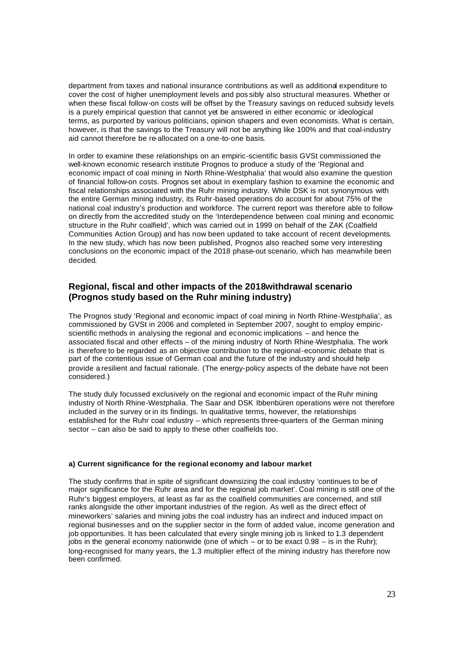department from taxes and national insurance contributions as well as additional expenditure to cover the cost of higher unemployment levels and pos sibly also structural measures. Whether or when these fiscal follow-on costs will be offset by the Treasury savings on reduced subsidy levels is a purely empirical question that cannot yet be answered in either economic or ideological terms, as purported by various politicians, opinion shapers and even economists. What is certain, however, is that the savings to the Treasury will not be anything like 100% and that coal-industry aid cannot therefore be re-allocated on a one-to-one basis.

In order to examine these relationships on an empiric-scientific basis GVSt commissioned the well-known economic research institute Prognos to produce a study of the 'Regional and economic impact of coal mining in North Rhine-Westphalia' that would also examine the question of financial follow-on costs. Prognos set about in exemplary fashion to examine the economic and fiscal relationships associated with the Ruhr mining industry. While DSK is not synonymous with the entire German mining industry, its Ruhr-based operations do account for about 75% of the national coal industry's production and workforce. The current report was therefore able to followon directly from the accredited study on the 'Interdependence between coal mining and economic structure in the Ruhr coalfield', which was carried out in 1999 on behalf of the ZAK (Coalfield Communities Action Group) and has now been updated to take account of recent developments. In the new study, which has now been published, Prognos also reached some very interesting conclusions on the economic impact of the 2018 phase-out scenario, which has meanwhile been decided.

# **Regional, fiscal and other impacts of the 2018withdrawal scenario (Prognos study based on the Ruhr mining industry)**

The Prognos study 'Regional and economic impact of coal mining in North Rhine-Westphalia', as commissioned by GVSt in 2006 and completed in September 2007, sought to employ empiricscientific methods in analysing the regional and economic implications – and hence the associated fiscal and other effects – of the mining industry of North Rhine-Westphalia. The work is therefore to be regarded as an objective contribution to the regional-economic debate that is part of the contentious issue of German coal and the future of the industry and should help provide a resilient and factual rationale. (The energy-policy aspects of the debate have not been considered.)

The study duly focussed exclusively on the regional and economic impact of the Ruhr mining industry of North Rhine-Westphalia. The Saar and DSK Ibbenbüren operations were not therefore included in the survey or in its findings. In qualitative terms, however, the relationships established for the Ruhr coal industry – which represents three-quarters of the German mining sector – can also be said to apply to these other coalfields too.

#### **a) Current significance for the regional economy and labour market**

The study confirms that in spite of significant downsizing the coal industry 'continues to be of major significance for the Ruhr area and for the regional job market'. Coal mining is still one of the Ruhr's biggest employers, at least as far as the coalfield communities are concerned, and still ranks alongside the other important industries of the region. As well as the direct effect of mineworkers' salaries and mining jobs the coal industry has an indirect and induced impact on regional businesses and on the supplier sector in the form of added value, income generation and job opportunities. It has been calculated that every single mining job is linked to 1.3 dependent jobs in the general economy nationwide (one of which – or to be exact  $0.98 -$  is in the Ruhr); long-recognised for many years, the 1.3 multiplier effect of the mining industry has therefore now been confirmed.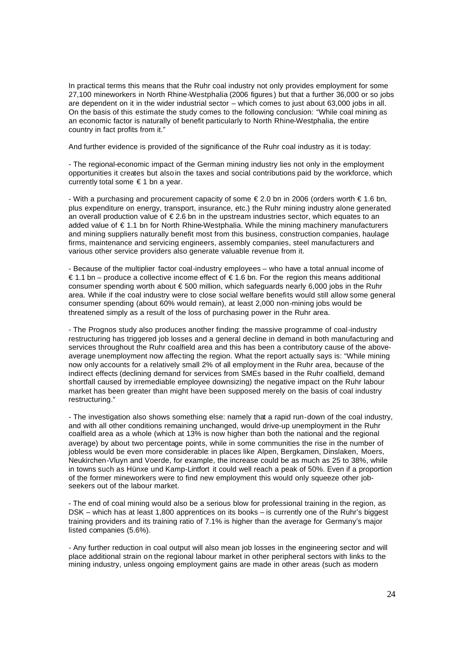In practical terms this means that the Ruhr coal industry not only provides employment for some 27,100 mineworkers in North Rhine-Westphalia (2006 figures ) but that a further 36,000 or so jobs are dependent on it in the wider industrial sector – which comes to just about 63,000 jobs in all. On the basis of this estimate the study comes to the following conclusion: "While coal mining as an economic factor is naturally of benefit particularly to North Rhine-Westphalia, the entire country in fact profits from it."

And further evidence is provided of the significance of the Ruhr coal industry as it is today:

- The regional-economic impact of the German mining industry lies not only in the employment opportunities it creates but also in the taxes and social contributions paid by the workforce, which currently total some  $\epsilon$  1 bn a year.

- With a purchasing and procurement capacity of some € 2.0 bn in 2006 (orders worth € 1.6 bn, plus expenditure on energy, transport, insurance, etc.) the Ruhr mining industry alone generated an overall production value of € 2.6 bn in the upstream industries sector, which equates to an added value of € 1.1 bn for North Rhine-Westphalia. While the mining machinery manufacturers and mining suppliers naturally benefit most from this business, construction companies, haulage firms, maintenance and servicing engineers, assembly companies, steel manufacturers and various other service providers also generate valuable revenue from it.

- Because of the multiplier factor coal-industry employees – who have a total annual income of € 1.1 bn – produce a collective income effect of € 1.6 bn. For the region this means additional consumer spending worth about € 500 million, which safeguards nearly 6,000 jobs in the Ruhr area. While if the coal industry were to close social welfare benefits would still allow some general consumer spending (about 60% would remain), at least 2,000 non-mining jobs would be threatened simply as a result of the loss of purchasing power in the Ruhr area.

- The Prognos study also produces another finding: the massive programme of coal-industry restructuring has triggered job losses and a general decline in demand in both manufacturing and services throughout the Ruhr coalfield area and this has been a contributory cause of the aboveaverage unemployment now affecting the region. What the report actually says is: "While mining now only accounts for a relatively small 2% of all employment in the Ruhr area, because of the indirect effects (declining demand for services from SMEs based in the Ruhr coalfield, demand shortfall caused by irremediable employee downsizing) the negative impact on the Ruhr labour market has been greater than might have been supposed merely on the basis of coal industry restructuring."

- The investigation also shows something else: namely that a rapid run-down of the coal industry, and with all other conditions remaining unchanged, would drive-up unemployment in the Ruhr coalfield area as a whole (which at 13% is now higher than both the national and the regional average) by about two percentage points, while in some communities the rise in the number of jobless would be even more considerable: in places like Alpen, Bergkamen, Dinslaken, Moers, Neukirchen-Vluyn and Voerde, for example, the increase could be as much as 25 to 38%, while in towns such as Hünxe und Kamp-Lintfort it could well reach a peak of 50%. Even if a proportion of the former mineworkers were to find new employment this would only squeeze other jobseekers out of the labour market.

- The end of coal mining would also be a serious blow for professional training in the region, as DSK – which has at least 1,800 apprentices on its books – is currently one of the Ruhr's biggest training providers and its training ratio of 7.1% is higher than the average for Germany's major listed companies (5.6%).

- Any further reduction in coal output will also mean job losses in the engineering sector and will place additional strain on the regional labour market in other peripheral sectors with links to the mining industry, unless ongoing employment gains are made in other areas (such as modern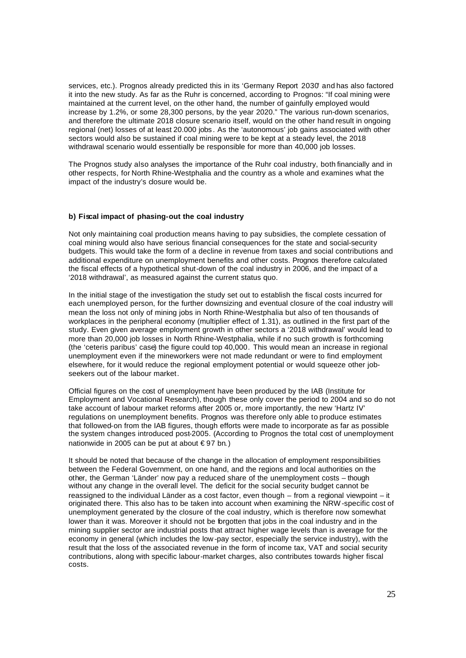services, etc.). Prognos already predicted this in its 'Germany Report 2030' and has also factored it into the new study. As far as the Ruhr is concerned, according to Prognos: "If coal mining were maintained at the current level, on the other hand, the number of gainfully employed would increase by 1.2%, or some 28,300 persons, by the year 2020." The various run-down scenarios, and therefore the ultimate 2018 closure scenario itself, would on the other hand result in ongoing regional (net) losses of at least 20.000 jobs . As the 'autonomous' job gains associated with other sectors would also be sustained if coal mining were to be kept at a steady level, the 2018 withdrawal scenario would essentially be responsible for more than 40,000 job losses.

The Prognos study also analyses the importance of the Ruhr coal industry, both financially and in other respects, for North Rhine-Westphalia and the country as a whole and examines what the impact of the industry's closure would be.

#### **b) Fiscal impact of phasing-out the coal industry**

Not only maintaining coal production means having to pay subsidies, the complete cessation of coal mining would also have serious financial consequences for the state and social-security budgets. This would take the form of a decline in revenue from taxes and social contributions and additional expenditure on unemployment benefits and other costs. Prognos therefore calculated the fiscal effects of a hypothetical shut-down of the coal industry in 2006, and the impact of a '2018 withdrawal', as measured against the current status quo.

In the initial stage of the investigation the study set out to establish the fiscal costs incurred for each unemployed person, for the further downsizing and eventual closure of the coal industry will mean the loss not only of mining jobs in North Rhine-Westphalia but also of ten thousands of workplaces in the peripheral economy (multiplier effect of 1.31), as outlined in the first part of the study. Even given average employment growth in other sectors a '2018 withdrawal' would lead to more than 20,000 job losses in North Rhine-Westphalia, while if no such growth is forthcoming (the 'ceteris paribus' case) the figure could top 40,000. This would mean an increase in regional unemployment even if the mineworkers were not made redundant or were to find employment elsewhere, for it would reduce the regional employment potential or would squeeze other jobseekers out of the labour market

Official figures on the cost of unemployment have been produced by the IAB (Institute for Employment and Vocational Research), though these only cover the period to 2004 and so do not take account of labour market reforms after 2005 or, more importantly, the new 'Hartz IV' regulations on unemployment benefits. Prognos was therefore only able to produce estimates that followed-on from the IAB figures, though efforts were made to incorporate as far as possible the system changes introduced post-2005. (According to Prognos the total cost of unemployment nationwide in 2005 can be put at about  $\in$ 97 bn.)

It should be noted that because of the change in the allocation of employment responsibilities between the Federal Government, on one hand, and the regions and local authorities on the other, the German 'Länder' now pay a reduced share of the unemployment costs – though without any change in the overall level. The deficit for the social security budget cannot be reassigned to the individual Länder as a cost factor, even though – from a regional viewpoint – it originated there. This also has to be taken into account when examining the NRW -specific cost of unemployment generated by the closure of the coal industry, which is therefore now somewhat lower than it was. Moreover it should not be forgotten that jobs in the coal industry and in the mining supplier sector are industrial posts that attract higher wage levels than is average for the economy in general (which includes the low -pay sector, especially the service industry), with the result that the loss of the associated revenue in the form of income tax, VAT and social security contributions, along with specific labour-market charges, also contributes towards higher fiscal costs.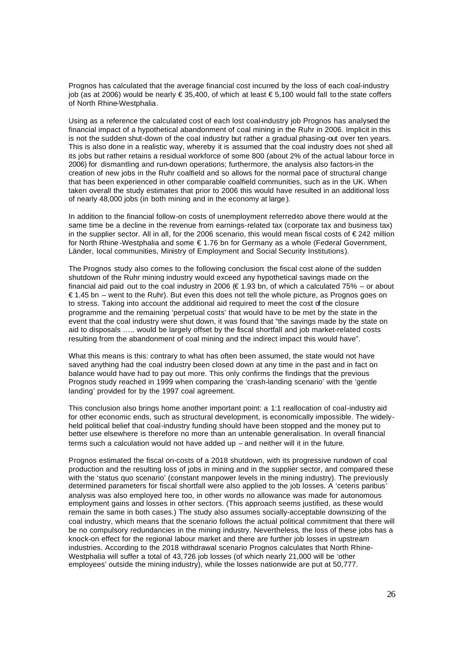Prognos has calculated that the average financial cost incurred by the loss of each coal-industry job (as at 2006) would be nearly  $\epsilon$  35,400, of which at least  $\epsilon$  5,100 would fall to the state coffers of North Rhine-Westphalia.

Using as a reference the calculated cost of each lost coal-industry job Prognos has analysed the financial impact of a hypothetical abandonment of coal mining in the Ruhr in 2006. Implicit in this is not the sudden shut-down of the coal industry but rather a gradual phasing-out over ten years. This is also done in a realistic way, whereby it is assumed that the coal industry does not shed all its jobs but rather retains a residual workforce of some 800 (about 2% of the actual labour force in 2006) for dismantling and run-down operations; furthermore, the analysis also factors-in the creation of new jobs in the Ruhr coalfield and so allows for the normal pace of structural change that has been experienced in other comparable coalfield communities, such as in the UK. When taken overall the study estimates that prior to 2006 this would have resulted in an additional loss of nearly 48,000 jobs (in both mining and in the economy at large ).

In addition to the financial follow-on costs of unemployment referred-to above there would at the same time be a decline in the revenue from earnings-related tax (corporate tax and business tax) in the supplier sector. All in all, for the 2006 scenario, this would mean fiscal costs of  $\epsilon$ 242 million for North Rhine -Westphalia and some € 1.76 bn for Germany as a whole (Federal Government, Länder, local communities, Ministry of Employment and Social Security Institutions).

The Prognos study also comes to the following conclusion: the fiscal cost alone of the sudden shutdown of the Ruhr mining industry would exceed any hypothetical savings made on the financial aid paid out to the coal industry in 2006 ( $\epsilon$  1.93 bn, of which a calculated 75% – or about € 1.45 bn – went to the Ruhr). But even this does not tell the whole picture, as Prognos goes on to stress. Taking into account the additional aid required to meet the cost of the closure programme and the remaining 'perpetual costs' that would have to be met by the state in the event that the coal industry were shut down, it was found that "the savings made by the state on aid to disposals ….. would be largely offset by the fiscal shortfall and job market-related costs resulting from the abandonment of coal mining and the indirect impact this would have".

What this means is this: contrary to what has often been assumed, the state would not have saved anything had the coal industry been closed down at any time in the past and in fact on balance would have had to pay out more. This only confirms the findings that the previous Prognos study reached in 1999 when comparing the 'crash-landing scenario' with the 'gentle landing' provided for by the 1997 coal agreement.

This conclusion also brings home another important point: a 1:1 reallocation of coal-industry aid for other economic ends, such as structural development, is economically impossible. The widelyheld political belief that coal-industry funding should have been stopped and the money put to better use elsewhere is therefore no more than an untenable generalisation. In overall financial terms such a calculation would not have added up – and neither will it in the future.

Prognos estimated the fiscal on-costs of a 2018 shutdown, with its progressive rundown of coal production and the resulting loss of jobs in mining and in the supplier sector, and compared these with the 'status quo scenario' (constant manpower levels in the mining industry). The previously determined parameters for fiscal shortfall were also applied to the job losses. A 'ceteris paribus' analysis was also employed here too, in other words no allowance was made for autonomous employment gains and losses in other sectors. (This approach seems justified, as these would remain the same in both cases.) The study also assumes socially-acceptable downsizing of the coal industry, which means that the scenario follows the actual political commitment that there will be no compulsory redundancies in the mining industry. Nevertheless, the loss of these jobs has a knock-on effect for the regional labour market and there are further job losses in upstream industries. According to the 2018 withdrawal scenario Prognos calculates that North Rhine-Westphalia will suffer a total of 43,726 job losses (of which nearly 21,000 will be 'other employees' outside the mining industry), while the losses nationwide are put at 50,777.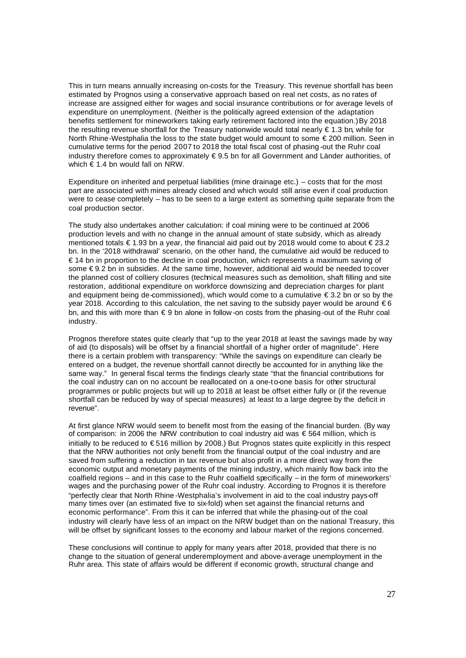This in turn means annually increasing on-costs for the Treasury. This revenue shortfall has been estimated by Prognos using a conservative approach based on real net costs, as no rates of increase are assigned either for wages and social insurance contributions or for average levels of expenditure on unemployment. (Neither is the politically agreed extension of the adaptation benefits settlement for mineworkers taking early retirement factored into the equation.) By 2018 the resulting revenue shortfall for the Treasury nationwide would total nearly € 1.3 bn, while for North Rhine-Westphalia the loss to the state budget would amount to some €200 million. Seen in cumulative terms for the period 2007 to 2018 the total fiscal cost of phasing -out the Ruhr coal industry therefore comes to approximately € 9.5 bn for all Government and Länder authorities, of which € 1.4 bn would fall on NRW.

Expenditure on inherited and perpetual liabilities (mine drainage etc.) – costs that for the most part are associated with mines already closed and which would still arise even if coal production were to cease completely – has to be seen to a large extent as something quite separate from the coal production sector.

The study also undertakes another calculation: if coal mining were to be continued at 2006 production levels and with no change in the annual amount of state subsidy, which as already mentioned totals € 1.93 bn a year, the financial aid paid out by 2018 would come to about € 23.2 bn. In the '2018 withdrawal' scenario, on the other hand, the cumulative aid would be reduced to € 14 bn in proportion to the decline in coal production, which represents a maximum saving of some €9.2 bn in subsidies. At the same time, however, additional aid would be needed to cover the planned cost of colliery closures (technical measures such as demolition, shaft filling and site restoration, additional expenditure on workforce downsizing and depreciation charges for plant and equipment being de-commissioned), which would come to a cumulative  $\epsilon$  3.2 bn or so by the year 2018. According to this calculation, the net saving to the subsidy payer would be around  $\epsilon$ 6 bn, and this with more than € 9 bn alone in follow -on costs from the phasing -out of the Ruhr coal industry.

Prognos therefore states quite clearly that "up to the year 2018 at least the savings made by way of aid (to disposals) will be offset by a financial shortfall of a higher order of magnitude". Here there is a certain problem with transparency: "While the savings on expenditure can clearly be entered on a budget, the revenue shortfall cannot directly be accounted for in anything like the same way." In general fiscal terms the findings clearly state "that the financial contributions for the coal industry can on no account be reallocated on a one-to-one basis for other structural programmes or public projects but will up to 2018 at least be offset either fully or (if the revenue shortfall can be reduced by way of special measures) at least to a large degree by the deficit in revenue".

At first glance NRW would seem to benefit most from the easing of the financial burden. (By way of comparison: in 2006 the NRW contribution to coal industry aid was  $\epsilon$  564 million, which is initially to be reduced to € 516 million by 2008.) But Prognos states quite explicitly in this respect that the NRW authorities not only benefit from the financial output of the coal industry and are saved from suffering a reduction in tax revenue but also profit in a more direct way from the economic output and monetary payments of the mining industry, which mainly flow back into the coalfield regions – and in this case to the Ruhr coalfield specifically – in the form of mineworkers' wages and the purchasing power of the Ruhr coal industry. According to Prognos it is therefore "perfectly clear that North Rhine -Westphalia's involvement in aid to the coal industry pays-off many times over (an estimated five to six-fold) when set against the financial returns and economic performance". From this it can be inferred that while the phasing-out of the coal industry will clearly have less of an impact on the NRW budget than on the national Treasury, this will be offset by significant losses to the economy and labour market of the regions concerned.

These conclusions will continue to apply for many years after 2018, provided that there is no change to the situation of general underemployment and above-average unemployment in the Ruhr area. This state of affairs would be different if economic growth, structural change and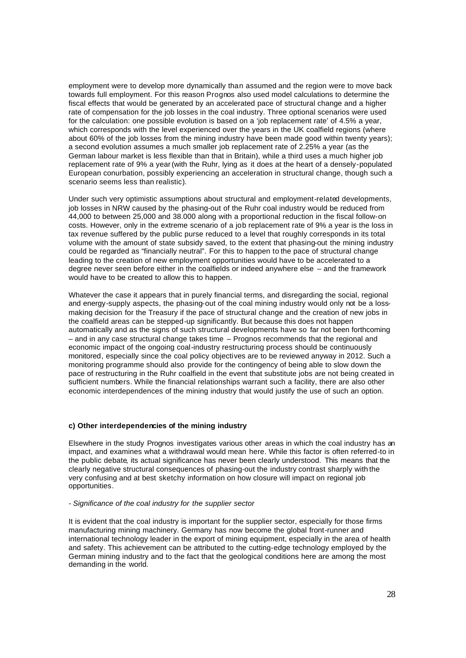employment were to develop more dynamically than assumed and the region were to move back towards full employment. For this reason Prognos also used model calculations to determine the fiscal effects that would be generated by an accelerated pace of structural change and a higher rate of compensation for the job losses in the coal industry. Three optional scenarios were used for the calculation: one possible evolution is based on a 'job replacement rate' of 4.5% a year, which corresponds with the level experienced over the years in the UK coalfield regions (where about 60% of the job losses from the mining industry have been made good within twenty years); a second evolution assumes a much smaller job replacement rate of 2.25% a year (as the German labour market is less flexible than that in Britain), while a third uses a much higher job replacement rate of 9% a year (with the Ruhr, lying as it does at the heart of a densely-populated European conurbation, possibly experiencing an acceleration in structural change, though such a scenario seems less than realistic).

Under such very optimistic assumptions about structural and employment-related developments, job losses in NRW caused by the phasing-out of the Ruhr coal industry would be reduced from 44,000 to between 25,000 and 38.000 along with a proportional reduction in the fiscal follow-on costs. However, only in the extreme scenario of a job replacement rate of 9% a year is the loss in tax revenue suffered by the public purse reduced to a level that roughly corresponds in its total volume with the amount of state subsidy saved, to the extent that phasing-out the mining industry could be regarded as "financially neutral". For this to happen to the pace of structural change leading to the creation of new employment opportunities would have to be accelerated to a degree never seen before either in the coalfields or indeed anywhere else – and the framework would have to be created to allow this to happen.

Whatever the case it appears that in purely financial terms, and disregarding the social, regional and energy-supply aspects, the phasing-out of the coal mining industry would only not be a lossmaking decision for the Treasury if the pace of structural change and the creation of new jobs in the coalfield areas can be stepped-up significantly. But because this does not happen automatically and as the signs of such structural developments have so far not been forthcoming – and in any case structural change takes time – Prognos recommends that the regional and economic impact of the ongoing coal-industry restructuring process should be continuously monitored, especially since the coal policy objectives are to be reviewed anyway in 2012. Such a monitoring programme should also provide for the contingency of being able to slow down the pace of restructuring in the Ruhr coalfield in the event that substitute jobs are not being created in sufficient numbers. While the financial relationships warrant such a facility, there are also other economic interdependences of the mining industry that would justify the use of such an option.

#### **c) Other interdependencies of the mining industry**

Elsewhere in the study Prognos investigates various other areas in which the coal industry has an impact, and examines what a withdrawal would mean here. While this factor is often referred-to in the public debate, its actual significance has never been clearly understood. This means that the clearly negative structural consequences of phasing-out the industry contrast sharply with the very confusing and at best sketchy information on how closure will impact on regional job opportunities.

#### *- Significance of the coal industry for the supplier sector*

It is evident that the coal industry is important for the supplier sector, especially for those firms manufacturing mining machinery. Germany has now become the global front-runner and international technology leader in the export of mining equipment, especially in the area of health and safety. This achievement can be attributed to the cutting-edge technology employed by the German mining industry and to the fact that the geological conditions here are among the most demanding in the world.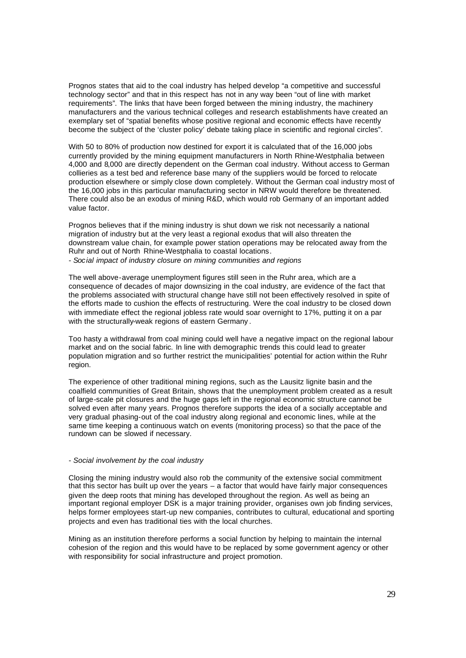Prognos states that aid to the coal industry has helped develop "a competitive and successful technology sector" and that in this respect has not in any way been "out of line with market requirements". The links that have been forged between the mining industry, the machinery manufacturers and the various technical colleges and research establishments have created an exemplary set of "spatial benefits whose positive regional and economic effects have recently become the subject of the 'cluster policy' debate taking place in scientific and regional circles".

With 50 to 80% of production now destined for export it is calculated that of the 16,000 jobs currently provided by the mining equipment manufacturers in North Rhine-Westphalia between 4,000 and 8,000 are directly dependent on the German coal industry. Without access to German collieries as a test bed and reference base many of the suppliers would be forced to relocate production elsewhere or simply close down completely. Without the German coal industry most of the 16,000 jobs in this particular manufacturing sector in NRW would therefore be threatened. There could also be an exodus of mining R&D, which would rob Germany of an important added value factor.

Prognos believes that if the mining industry is shut down we risk not necessarily a national migration of industry but at the very least a regional exodus that will also threaten the downstream value chain, for example power station operations may be relocated away from the Ruhr and out of North Rhine-Westphalia to coastal locations.

*- Social impact of industry closure on mining communities and regions*

The well above-average unemployment figures still seen in the Ruhr area, which are a consequence of decades of major downsizing in the coal industry, are evidence of the fact that the problems associated with structural change have still not been effectively resolved in spite of the efforts made to cushion the effects of restructuring. Were the coal industry to be closed down with immediate effect the regional jobless rate would soar overnight to 17%, putting it on a par with the structurally-weak regions of eastern Germany.

Too hasty a withdrawal from coal mining could well have a negative impact on the regional labour market and on the social fabric. In line with demographic trends this could lead to greater population migration and so further restrict the municipalities' potential for action within the Ruhr region.

The experience of other traditional mining regions, such as the Lausitz lignite basin and the coalfield communities of Great Britain, shows that the unemployment problem created as a result of large-scale pit closures and the huge gaps left in the regional economic structure cannot be solved even after many years. Prognos therefore supports the idea of a socially acceptable and very gradual phasing-out of the coal industry along regional and economic lines, while at the same time keeping a continuous watch on events (monitoring process) so that the pace of the rundown can be slowed if necessary.

#### *- Social involvement by the coal industry*

Closing the mining industry would also rob the community of the extensive social commitment that this sector has built up over the years – a factor that would have fairly major consequences given the deep roots that mining has developed throughout the region. As well as being an important regional employer DSK is a major training provider, organises own job finding services, helps former employees start-up new companies, contributes to cultural, educational and sporting projects and even has traditional ties with the local churches.

Mining as an institution therefore performs a social function by helping to maintain the internal cohesion of the region and this would have to be replaced by some government agency or other with responsibility for social infrastructure and project promotion.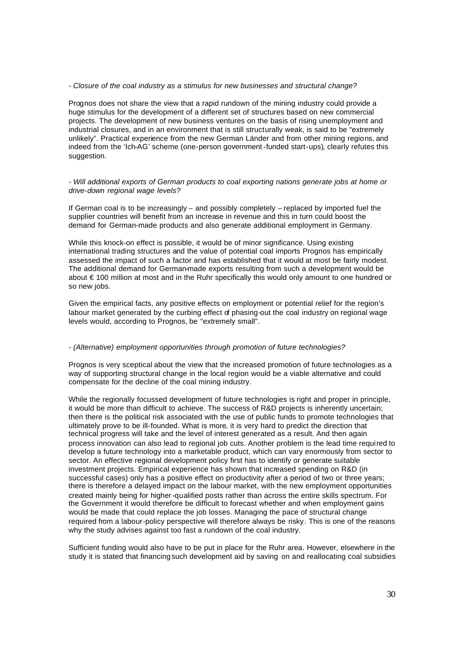#### *- Closure of the coal industry as a stimulus for new businesses and structural change?*

Prognos does not share the view that a rapid rundown of the mining industry could provide a huge stimulus for the development of a different set of structures based on new commercial projects. The development of new business ventures on the basis of rising unemployment and industrial closures, and in an environment that is still structurally weak, is said to be "extremely unlikely". Practical experience from the new German Länder and from other mining regions, and indeed from the 'Ich-AG' scheme (one-person government-funded start-ups), clearly refutes this suggestion.

*- Will additional exports of German products to coal exporting nations generate jobs at home or drive-down regional wage levels?*

If German coal is to be increasingly – and possibly completely – replaced by imported fuel the supplier countries will benefit from an increase in revenue and this in turn could boost the demand for German-made products and also generate additional employment in Germany.

While this knock-on effect is possible, it would be of minor significance. Using existing international trading structures and the value of potential coal imports Prognos has empirically assessed the impact of such a factor and has established that it would at most be fairly modest. The additional demand for German-made exports resulting from such a development would be about € 100 million at most and in the Ruhr specifically this would only amount to one hundred or so new jobs.

Given the empirical facts, any positive effects on employment or potential relief for the region's labour market generated by the curbing effect of phasing-out the coal industry on regional wage levels would, according to Prognos, be "extremely small".

#### *- (Alternative) employment opportunities through promotion of future technologies?*

Prognos is very sceptical about the view that the increased promotion of future technologies as a way of supporting structural change in the local region would be a viable alternative and could compensate for the decline of the coal mining industry.

While the regionally focussed development of future technologies is right and proper in principle. it would be more than difficult to achieve. The success of R&D projects is inherently uncertain; then there is the political risk associated with the use of public funds to promote technologies that ultimately prove to be ill-founded. What is more, it is very hard to predict the direction that technical progress will take and the level of interest generated as a result. And then again process innovation can also lead to regional job cuts. Another problem is the lead time required to develop a future technology into a marketable product, which can vary enormously from sector to sector. An effective regional development policy first has to identify or generate suitable investment projects. Empirical experience has shown that increased spending on R&D (in successful cases) only has a positive effect on productivity after a period of two or three years; there is therefore a delayed impact on the labour market, with the new employment opportunities created mainly being for higher-qualified posts rather than across the entire skills spectrum. For the Government it would therefore be difficult to forecast whether and when employment gains would be made that could replace the job losses. Managing the pace of structural change required from a labour-policy perspective will therefore always be risky. This is one of the reasons why the study advises against too fast a rundown of the coal industry.

Sufficient funding would also have to be put in place for the Ruhr area. However, elsewhere in the study it is stated that financing such development aid by saving on and reallocating coal subsidies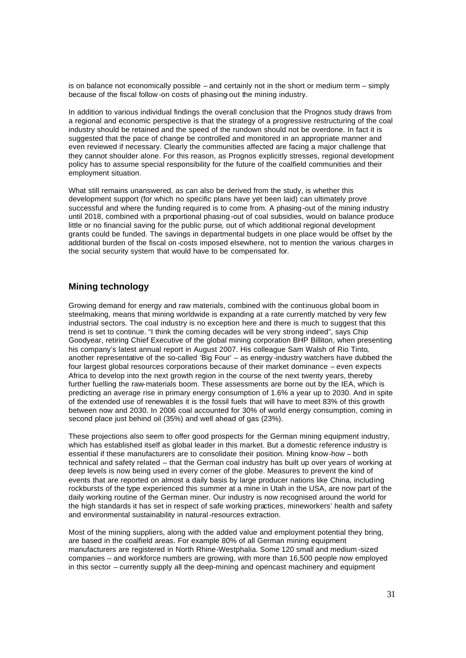is on balance not economically possible – and certainly not in the short or medium term – simply because of the fiscal follow -on costs of phasing-out the mining industry.

In addition to various individual findings the overall conclusion that the Prognos study draws from a regional and economic perspective is that the strategy of a progressive restructuring of the coal industry should be retained and the speed of the rundown should not be overdone. In fact it is suggested that the pace of change be controlled and monitored in an appropriate manner and even reviewed if necessary. Clearly the communities affected are facing a major challenge that they cannot shoulder alone. For this reason, as Prognos explicitly stresses, regional development policy has to assume special responsibility for the future of the coalfield communities and their employment situation.

What still remains unanswered, as can also be derived from the study, is whether this development support (for which no specific plans have yet been laid) can ultimately prove successful and where the funding required is to come from. A phasing-out of the mining industry until 2018, combined with a proportional phasing -out of coal subsidies, would on balance produce little or no financial saving for the public purse, out of which additional regional development grants could be funded. The savings in departmental budgets in one place would be offset by the additional burden of the fiscal on -costs imposed elsewhere, not to mention the various charges in the social security system that would have to be compensated for.

# **Mining technology**

Growing demand for energy and raw materials, combined with the continuous global boom in steelmaking, means that mining worldwide is expanding at a rate currently matched by very few industrial sectors. The coal industry is no exception here and there is much to suggest that this trend is set to continue. "I think the coming decades will be very strong indeed", says Chip Goodyear, retiring Chief Executive of the global mining corporation BHP Billiton, when presenting his company's latest annual report in August 2007. His colleague Sam Walsh of Rio Tinto, another representative of the so-called 'Big Four' – as energy -industry watchers have dubbed the four largest global resources corporations because of their market dominance – even expects Africa to develop into the next growth region in the course of the next twenty years, thereby further fuelling the raw-materials boom. These assessments are borne out by the IEA, which is predicting an average rise in primary energy consumption of 1.6% a year up to 2030. And in spite of the extended use of renewables it is the fossil fuels that will have to meet 83% of this growth between now and 2030. In 2006 coal accounted for 30% of world energy consumption, coming in second place just behind oil (35%) and well ahead of gas (23%).

These projections also seem to offer good prospects for the German mining equipment industry, which has established itself as global leader in this market. But a domestic reference industry is essential if these manufacturers are to consolidate their position. Mining know-how – both technical and safety related – that the German coal industry has built up over years of working at deep levels is now being used in every corner of the globe. Measures to prevent the kind of events that are reported on almost a daily basis by large producer nations like China, including rockbursts of the type experienced this summer at a mine in Utah in the USA, are now part of the daily working routine of the German miner. Our industry is now recognised around the world for the high standards it has set in respect of safe working practices, mineworkers' health and safety and environmental sustainability in natural-resources extraction.

Most of the mining suppliers, along with the added value and employment potential they bring, are based in the coalfield areas. For example 80% of all German mining equipment manufacturers are registered in North Rhine-Westphalia. Some 120 small and medium -sized companies – and workforce numbers are growing, with more than 16,500 people now employed in this sector – currently supply all the deep-mining and opencast machinery and equipment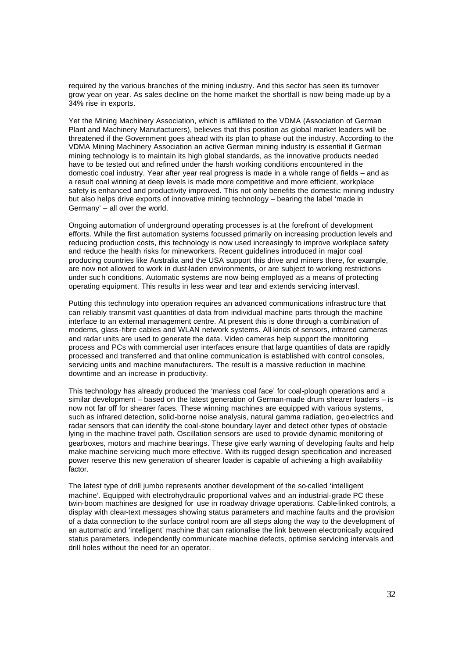required by the various branches of the mining industry. And this sector has seen its turnover grow year on year. As sales decline on the home market the shortfall is now being made-up by a 34% rise in exports.

Yet the Mining Machinery Association, which is affiliated to the VDMA (Association of German Plant and Machinery Manufacturers), believes that this position as global market leaders will be threatened if the Government goes ahead with its plan to phase out the industry. According to the VDMA Mining Machinery Association an active German mining industry is essential if German mining technology is to maintain its high global standards, as the innovative products needed have to be tested out and refined under the harsh working conditions encountered in the domestic coal industry. Year after year real progress is made in a whole range of fields – and as a result coal winning at deep levels is made more competitive and more efficient, workplace safety is enhanced and productivity improved. This not only benefits the domestic mining industry but also helps drive exports of innovative mining technology – bearing the label 'made in Germany' – all over the world.

Ongoing automation of underground operating processes is at the forefront of development efforts. While the first automation systems focussed primarily on increasing production levels and reducing production costs, this technology is now used increasingly to improve workplace safety and reduce the health risks for mineworkers. Recent guidelines introduced in major coal producing countries like Australia and the USA support this drive and miners there, for example, are now not allowed to work in dust-laden environments, or are subject to working restrictions under suc h conditions. Automatic systems are now being employed as a means of protecting operating equipment. This results in less wear and tear and extends servicing intervasl.

Putting this technology into operation requires an advanced communications infrastruc ture that can reliably transmit vast quantities of data from individual machine parts through the machine interface to an external management centre. At present this is done through a combination of modems, glass-fibre cables and WLAN network systems. All kinds of sensors, infrared cameras and radar units are used to generate the data. Video cameras help support the monitoring process and PCs with commercial user interfaces ensure that large quantities of data are rapidly processed and transferred and that online communication is established with control consoles, servicing units and machine manufacturers. The result is a massive reduction in machine downtime and an increase in productivity.

This technology has already produced the 'manless coal face' for coal-plough operations and a similar development – based on the latest generation of German-made drum shearer loaders – is now not far off for shearer faces. These winning machines are equipped with various systems, such as infrared detection, solid-borne noise analysis, natural gamma radiation, geo-electrics and radar sensors that can identify the coal-stone boundary layer and detect other types of obstacle lying in the machine travel path. Oscillation sensors are used to provide dynamic monitoring of gearboxes, motors and machine bearings. These give early warning of developing faults and help make machine servicing much more effective. With its rugged design specification and increased power reserve this new generation of shearer loader is capable of achieving a high availability factor.

The latest type of drill jumbo represents another development of the so-called 'intelligent machine'. Equipped with electrohydraulic proportional valves and an industrial-grade PC these twin-boom machines are designed for use in roadway drivage operations. Cable-linked controls, a display with clear-text messages showing status parameters and machine faults and the provision of a data connection to the surface control room are all steps along the way to the development of an automatic and 'intelligent' machine that can rationalise the link between electronically acquired status parameters, independently communicate machine defects, optimise servicing intervals and drill holes without the need for an operator.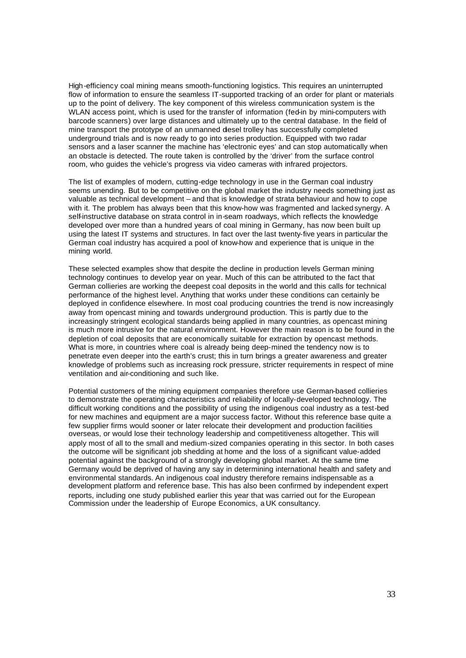High-efficiency coal mining means smooth-functioning logistics. This requires an uninterrupted flow of information to ensure the seamless IT-supported tracking of an order for plant or materials up to the point of delivery. The key component of this wireless communication system is the WLAN access point, which is used for the transfer of information (fed-in by mini-computers with barcode scanners) over large distances and ultimately up to the central database. In the field of mine transport the prototype of an unmanned diesel trolley has successfully completed underground trials and is now ready to go into series production. Equipped with two radar sensors and a laser scanner the machine has 'electronic eyes' and can stop automatically when an obstacle is detected. The route taken is controlled by the 'driver' from the surface control room, who guides the vehicle's progress via video cameras with infrared projectors.

The list of examples of modern, cutting-edge technology in use in the German coal industry seems unending. But to be competitive on the global market the industry needs something just as valuable as technical development – and that is knowledge of strata behaviour and how to cope with it. The problem has always been that this know-how was fragmented and lacked synergy. A self-instructive database on strata control in in-seam roadways, which reflects the knowledge developed over more than a hundred years of coal mining in Germany, has now been built up using the latest IT systems and structures. In fact over the last twenty-five years in particular the German coal industry has acquired a pool of know-how and experience that is unique in the mining world.

These selected examples show that despite the decline in production levels German mining technology continues to develop year on year. Much of this can be attributed to the fact that German collieries are working the deepest coal deposits in the world and this calls for technical performance of the highest level. Anything that works under these conditions can certainly be deployed in confidence elsewhere. In most coal producing countries the trend is now increasingly away from opencast mining and towards underground production. This is partly due to the increasingly stringent ecological standards being applied in many countries, as opencast mining is much more intrusive for the natural environment. However the main reason is to be found in the depletion of coal deposits that are economically suitable for extraction by opencast methods. What is more, in countries where coal is already being deep-mined the tendency now is to penetrate even deeper into the earth's crust; this in turn brings a greater awareness and greater knowledge of problems such as increasing rock pressure, stricter requirements in respect of mine ventilation and air-conditioning and such like.

Potential customers of the mining equipment companies therefore use German-based collieries to demonstrate the operating characteristics and reliability of locally-developed technology. The difficult working conditions and the possibility of using the indigenous coal industry as a test-bed for new machines and equipment are a major success factor. Without this reference base quite a few supplier firms would sooner or later relocate their development and production facilities overseas, or would lose their technology leadership and competitiveness altogether. This will apply most of all to the small and medium-sized companies operating in this sector. In both cases the outcome will be significant job shedding at home and the loss of a significant value-added potential against the background of a strongly developing global market. At the same time Germany would be deprived of having any say in determining international health and safety and environmental standards. An indigenous coal industry therefore remains indispensable as a development platform and reference base. This has also been confirmed by independent expert reports, including one study published earlier this year that was carried out for the European Commission under the leadership of Europe Economics, a UK consultancy.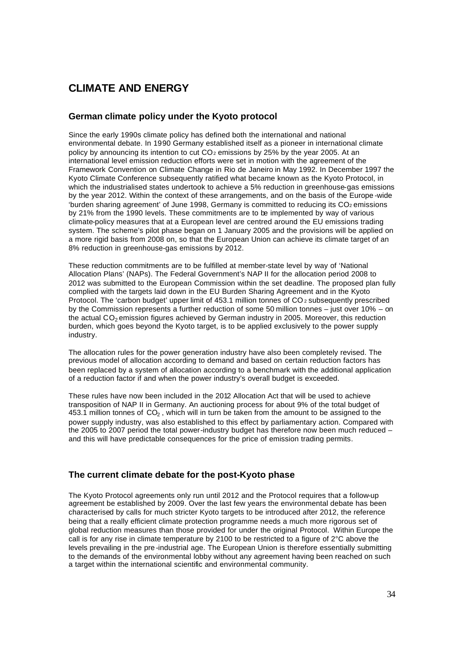# **CLIMATE AND ENERGY**

# **German climate policy under the Kyoto protocol**

Since the early 1990s climate policy has defined both the international and national environmental debate. In 1990 Germany established itself as a pioneer in international climate policy by announcing its intention to cut  $CO<sub>2</sub>$  emissions by 25% by the year 2005. At an international level emission reduction efforts were set in motion with the agreement of the Framework Convention on Climate Change in Rio de Janeiro in May 1992. In December 1997 the Kyoto Climate Conference subsequently ratified what became known as the Kyoto Protocol, in which the industrialised states undertook to achieve a 5% reduction in greenhouse-gas emissions by the year 2012. Within the context of these arrangements, and on the basis of the Europe -wide 'burden sharing agreement' of June 1998, Germany is committed to reducing its  $CO<sub>2</sub>$  emissions by 21% from the 1990 levels. These commitments are to be implemented by way of various climate-policy measures that at a European level are centred around the EU emissions trading system. The scheme's pilot phase began on 1 January 2005 and the provisions will be applied on a more rigid basis from 2008 on, so that the European Union can achieve its climate target of an 8% reduction in greenhouse-gas emissions by 2012.

These reduction commitments are to be fulfilled at member-state level by way of 'National Allocation Plans' (NAPs). The Federal Government's NAP II for the allocation period 2008 to 2012 was submitted to the European Commission within the set deadline. The proposed plan fully complied with the targets laid down in the EU Burden Sharing Agreement and in the Kyoto Protocol. The 'carbon budget' upper limit of 453.1 million tonnes of CO<sub>2</sub> subsequently prescribed by the Commission represents a further reduction of some 50 million tonnes – just over 10% – on the actual  $CO<sub>2</sub>$  emission figures achieved by German industry in 2005. Moreover, this reduction burden, which goes beyond the Kyoto target, is to be applied exclusively to the power supply industry.

The allocation rules for the power generation industry have also been completely revised. The previous model of allocation according to demand and based on certain reduction factors has been replaced by a system of allocation according to a benchmark with the additional application of a reduction factor if and when the power industry's overall budget is exceeded.

These rules have now been included in the 2012 Allocation Act that will be used to achieve transposition of NAP II in Germany. An auctioning process for about 9% of the total budget of 453.1 million tonnes of  $CO<sub>2</sub>$ , which will in turn be taken from the amount to be assigned to the power supply industry, was also established to this effect by parliamentary action. Compared with the 2005 to 2007 period the total power-industry budget has therefore now been much reduced – and this will have predictable consequences for the price of emission trading permits.

# **The current climate debate for the post-Kyoto phase**

The Kyoto Protocol agreements only run until 2012 and the Protocol requires that a follow-up agreement be established by 2009. Over the last few years the environmental debate has been characterised by calls for much stricter Kyoto targets to be introduced after 2012, the reference being that a really efficient climate protection programme needs a much more rigorous set of global reduction measures than those provided for under the original Protocol. Within Europe the call is for any rise in climate temperature by 2100 to be restricted to a figure of 2°C above the levels prevailing in the pre -industrial age. The European Union is therefore essentially submitting to the demands of the environmental lobby without any agreement having been reached on such a target within the international scientific and environmental community.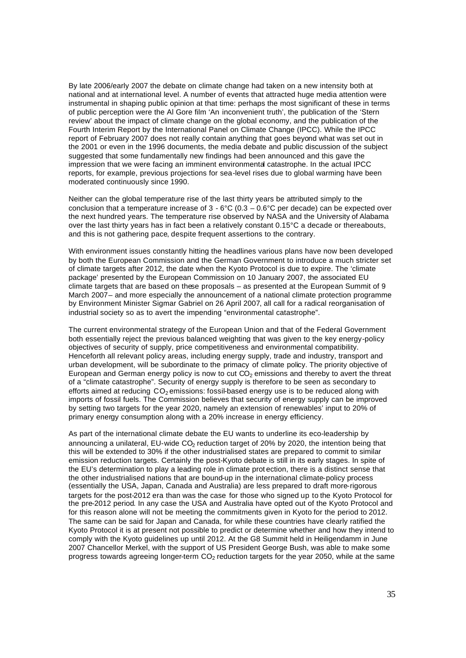By late 2006/early 2007 the debate on climate change had taken on a new intensity both at national and at international level. A number of events that attracted huge media attention were instrumental in shaping public opinion at that time: perhaps the most significant of these in terms of public perception were the Al Gore film 'An inconvenient truth', the publication of the 'Stern review' about the impact of climate change on the global economy, and the publication of the Fourth Interim Report by the International Panel on Climate Change (IPCC). While the IPCC report of February 2007 does not really contain anything that goes beyond what was set out in the 2001 or even in the 1996 documents, the media debate and public discussion of the subject suggested that some fundamentally new findings had been announced and this gave the impression that we were facing an imminent environmental catastrophe. In the actual IPCC reports, for example, previous projections for sea-level rises due to global warming have been moderated continuously since 1990.

Neither can the global temperature rise of the last thirty years be attributed simply to the conclusion that a temperature increase of  $3 - 6^{\circ}C$  (0.3 – 0.6 $^{\circ}C$  per decade) can be expected over the next hundred years. The temperature rise observed by NASA and the University of Alabama over the last thirty years has in fact been a relatively constant 0.15°C a decade or thereabouts, and this is not gathering pace, despite frequent assertions to the contrary.

With environment issues constantly hitting the headlines various plans have now been developed by both the European Commission and the German Government to introduce a much stricter set of climate targets after 2012, the date when the Kyoto Protocol is due to expire. The 'climate package' presented by the European Commission on 10 January 2007, the associated EU climate targets that are based on these proposals – as presented at the European Summit of 9 March 2007– and more especially the announcement of a national climate protection programme by Environment Minister Sigmar Gabriel on 26 April 2007, all call for a radical reorganisation of industrial society so as to avert the impending "environmental catastrophe".

The current environmental strategy of the European Union and that of the Federal Government both essentially reject the previous balanced weighting that was given to the key energy-policy objectives of security of supply, price competitiveness and environmental compatibility. Henceforth all relevant policy areas, including energy supply, trade and industry, transport and urban development, will be subordinate to the primacy of climate policy. The priority objective of European and German energy policy is now to cut  $CO<sub>2</sub>$  emissions and thereby to avert the threat of a "climate catastrophe". Security of energy supply is therefore to be seen as secondary to efforts aimed at reducing CO<sub>2</sub> emissions: fossil-based energy use is to be reduced along with imports of fossil fuels. The Commission believes that security of energy supply can be improved by setting two targets for the year 2020, namely an extension of renewables' input to 20% of primary energy consumption along with a 20% increase in energy efficiency.

As part of the international climate debate the EU wants to underline its eco-leadership by announcing a unilateral, EU-wide CO<sub>2</sub> reduction target of 20% by 2020, the intention being that this will be extended to 30% if the other industrialised states are prepared to commit to similar emission reduction targets. Certainly the post-Kyoto debate is still in its early stages. In spite of the EU's determination to play a leading role in climate prot ection, there is a distinct sense that the other industrialised nations that are bound-up in the international climate-policy process (essentially the USA, Japan, Canada and Australia) are less prepared to draft more-rigorous targets for the post-2012 era than was the case for those who signed up to the Kyoto Protocol for the pre-2012 period. In any case the USA and Australia have opted out of the Kyoto Protocol and for this reason alone will not be meeting the commitments given in Kyoto for the period to 2012. The same can be said for Japan and Canada, for while these countries have clearly ratified the Kyoto Protocol it is at present not possible to predict or determine whether and how they intend to comply with the Kyoto guidelines up until 2012. At the G8 Summit held in Heiligendamm in June 2007 Chancellor Merkel, with the support of US President George Bush, was able to make some progress towards agreeing longer-term  $CO<sub>2</sub>$  reduction targets for the year 2050, while at the same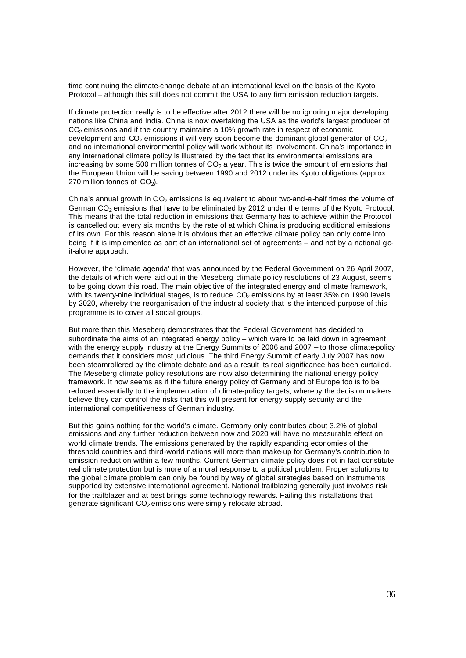time continuing the climate-change debate at an international level on the basis of the Kyoto Protocol – although this still does not commit the USA to any firm emission reduction targets.

If climate protection really is to be effective after 2012 there will be no ignoring major developing nations like China and India. China is now overtaking the USA as the world's largest producer of CO<sub>2</sub> emissions and if the country maintains a 10% growth rate in respect of economic development and  $CO<sub>2</sub>$  emissions it will very soon become the dominant global generator of  $CO<sub>2</sub>$ and no international environmental policy will work without its involvement. China's importance in any international climate policy is illustrated by the fact that its environmental emissions are increasing by some 500 million tonnes of  $CO<sub>2</sub>$  a year. This is twice the amount of emissions that the European Union will be saving between 1990 and 2012 under its Kyoto obligations (approx. 270 million tonnes of  $CO<sub>2</sub>$ ).

China's annual growth in  $CO<sub>2</sub>$  emissions is equivalent to about two-and-a-half times the volume of German  $CO<sub>2</sub>$  emissions that have to be eliminated by 2012 under the terms of the Kyoto Protocol. This means that the total reduction in emissions that Germany has to achieve within the Protocol is cancelled out every six months by the rate of at which China is producing additional emissions of its own. For this reason alone it is obvious that an effective climate policy can only come into being if it is implemented as part of an international set of agreements – and not by a national goit-alone approach.

However, the 'climate agenda' that was announced by the Federal Government on 26 April 2007, the details of which were laid out in the Meseberg climate policy resolutions of 23 August, seems to be going down this road. The main objec tive of the integrated energy and climate framework, with its twenty-nine individual stages, is to reduce  $CO<sub>2</sub>$  emissions by at least 35% on 1990 levels by 2020, whereby the reorganisation of the industrial society that is the intended purpose of this programme is to cover all social groups.

But more than this Meseberg demonstrates that the Federal Government has decided to subordinate the aims of an integrated energy policy – which were to be laid down in agreement with the energy supply industry at the Energy Summits of 2006 and 2007 – to those climate-policy demands that it considers most judicious. The third Energy Summit of early July 2007 has now been steamrollered by the climate debate and as a result its real significance has been curtailed. The Meseberg climate policy resolutions are now also determining the national energy policy framework. It now seems as if the future energy policy of Germany and of Europe too is to be reduced essentially to the implementation of climate-policy targets, whereby the decision makers believe they can control the risks that this will present for energy supply security and the international competitiveness of German industry.

But this gains nothing for the world's climate. Germany only contributes about 3.2% of global emissions and any further reduction between now and 2020 will have no measurable effect on world climate trends. The emissions generated by the rapidly expanding economies of the threshold countries and third-world nations will more than make-up for Germany's contribution to emission reduction within a few months. Current German climate policy does not in fact constitute real climate protection but is more of a moral response to a political problem. Proper solutions to the global climate problem can only be found by way of global strategies based on instruments supported by extensive international agreement. National trailblazing generally just involves risk for the trailblazer and at best brings some technology rewards. Failing this installations that generate significant  $CO<sub>2</sub>$  emissions were simply relocate abroad.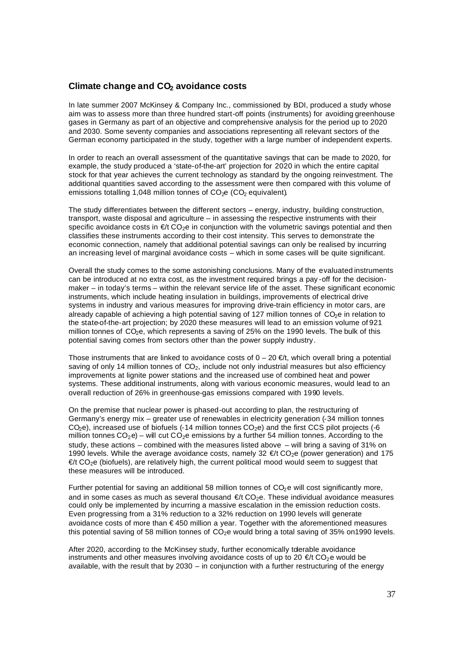## **Climate change and CO2 avoidance costs**

In late summer 2007 McKinsey & Company Inc., commissioned by BDI, produced a study whose aim was to assess more than three hundred start-off points (instruments) for avoiding greenhouse gases in Germany as part of an objective and comprehensive analysis for the period up to 2020 and 2030. Some seventy companies and associations representing all relevant sectors of the German economy participated in the study, together with a large number of independent experts.

In order to reach an overall assessment of the quantitative savings that can be made to 2020, for example, the study produced a 'state-of-the-art' projection for 2020 in which the entire capital stock for that year achieves the current technology as standard by the ongoing reinvestment. The additional quantities saved according to the assessment were then compared with this volume of emissions totalling 1,048 million tonnes of  $CO<sub>2</sub>e$  ( $CO<sub>2</sub>$  equivalent).

The study differentiates between the different sectors – energy, industry, building construction, transport, waste disposal and agriculture – in assessing the respective instruments with their specific avoidance costs in  $\epsilon$  t CO<sub>2</sub>e in conjunction with the volumetric savings potential and then classifies these instruments according to their cost intensity. This serves to demonstrate the economic connection, namely that additional potential savings can only be realised by incurring an increasing level of marginal avoidance costs – which in some cases will be quite significant.

Overall the study comes to the some astonishing conclusions. Many of the evaluated instruments can be introduced at no extra cost, as the investment required brings a pay -off for the decisionmaker – in today's terms – within the relevant service life of the asset. These significant economic instruments, which include heating insulation in buildings, improvements of electrical drive systems in industry and various measures for improving drive-train efficiency in motor cars, are already capable of achieving a high potential saving of 127 million tonnes of  $CO<sub>2</sub>e$  in relation to the state-of-the-art projection; by 2020 these measures will lead to an emission volume of 921 million tonnes of CO<sub>2</sub>e, which represents a saving of 25% on the 1990 levels. The bulk of this potential saving comes from sectors other than the power supply industry.

Those instruments that are linked to avoidance costs of  $0 - 20 \in \mathcal{F}$  which overall bring a potential saving of only 14 million tonnes of  $CO<sub>2</sub>$ , include not only industrial measures but also efficiency improvements at lignite power stations and the increased use of combined heat and power systems. These additional instruments, along with various economic measures, would lead to an overall reduction of 26% in greenhouse-gas emissions compared with 1990 levels.

On the premise that nuclear power is phased-out according to plan, the restructuring of Germany's energy mix – greater use of renewables in electricity generation (-34 million tonnes  $CO<sub>2</sub>e$ ), increased use of biofuels (-14 million tonnes  $CO<sub>2</sub>e$ ) and the first CCS pilot projects (-6 million tonnes  $CO_2$ e) – will cut  $CO_2$ e emissions by a further 54 million tonnes. According to the study, these actions – combined with the measures listed above – will bring a saving of 31% on 1990 levels. While the average avoidance costs, namely 32  $\epsilon$ t CO<sub>2</sub>e (power generation) and 175  $\epsilon$ t CO<sub>2</sub>e (biofuels), are relatively high, the current political mood would seem to suggest that these measures will be introduced.

Further potential for saving an additional 58 million tonnes of  $CO<sub>2</sub>e$  will cost significantly more, and in some cases as much as several thousand  $E/EO<sub>2</sub>e$ . These individual avoidance measures could only be implemented by incurring a massive escalation in the emission reduction costs. Even progressing from a 31% reduction to a 32% reduction on 1990 levels will generate avoidance costs of more than € 450 million a year. Together with the aforementioned measures this potential saving of 58 million tonnes of  $CO<sub>2</sub>e$  would bring a total saving of 35% on 1990 levels.

After 2020, according to the McKinsey study, further economically tderable avoidance instruments and other measures involving avoidance costs of up to 20  $\epsilon$ /t CO<sub>2</sub>e would be available, with the result that by 2030 – in conjunction with a further restructuring of the energy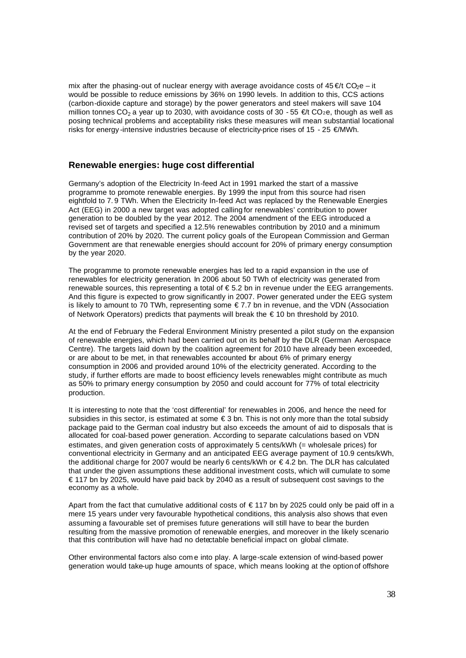mix after the phasing-out of nuclear energy with average avoidance costs of  $45 \in \mathcal{U}$  CO<sub>2</sub>e – it would be possible to reduce emissions by 36% on 1990 levels. In addition to this, CCS actions (carbon-dioxide capture and storage) by the power generators and steel makers will save 104 million tonnes CO<sub>2</sub> a year up to 2030, with avoidance costs of 30 - 55  $\epsilon$ t CO<sub>2</sub>e, though as well as posing technical problems and acceptability risks these measures will mean substantial locational risks for energy -intensive industries because of electricity-price rises of 15 - 25  $\epsilon$ /MWh.

#### **Renewable energies: huge cost differential**

Germany's adoption of the Electricity In-feed Act in 1991 marked the start of a massive programme to promote renewable energies. By 1999 the input from this source had risen eightfold to 7. 9 TWh. When the Electricity In-feed Act was replaced by the Renewable Energies Act (EEG) in 2000 a new target was adopted calling for renewables' contribution to power generation to be doubled by the year 2012. The 2004 amendment of the EEG introduced a revised set of targets and specified a 12.5% renewables contribution by 2010 and a minimum contribution of 20% by 2020. The current policy goals of the European Commission and German Government are that renewable energies should account for 20% of primary energy consumption by the year 2020.

The programme to promote renewable energies has led to a rapid expansion in the use of renewables for electricity generation. In 2006 about 50 TWh of electricity was generated from renewable sources, this representing a total of  $\epsilon$  5.2 bn in revenue under the EEG arrangements. And this figure is expected to grow significantly in 2007. Power generated under the EEG system is likely to amount to 70 TWh, representing some  $\epsilon$  7.7 bn in revenue, and the VDN (Association of Network Operators) predicts that payments will break the  $\epsilon$  10 bn threshold by 2010.

At the end of February the Federal Environment Ministry presented a pilot study on the expansion of renewable energies, which had been carried out on its behalf by the DLR (German Aerospace Centre). The targets laid down by the coalition agreement for 2010 have already been exceeded, or are about to be met, in that renewables accounted for about 6% of primary energy consumption in 2006 and provided around 10% of the electricity generated. According to the study, if further efforts are made to boost efficiency levels renewables might contribute as much as 50% to primary energy consumption by 2050 and could account for 77% of total electricity production.

It is interesting to note that the 'cost differential' for renewables in 2006, and hence the need for subsidies in this sector, is estimated at some  $\epsilon$  3 bn. This is not only more than the total subsidy package paid to the German coal industry but also exceeds the amount of aid to disposals that is allocated for coal-based power generation. According to separate calculations based on VDN estimates, and given generation costs of approximately 5 cents/kWh (= wholesale prices) for conventional electricity in Germany and an anticipated EEG average payment of 10.9 cents/kWh, the additional charge for 2007 would be nearly 6 cents/kWh or € 4.2 bn. The DLR has calculated that under the given assumptions these additional investment costs, which will cumulate to some € 117 bn by 2025, would have paid back by 2040 as a result of subsequent cost savings to the economy as a whole.

Apart from the fact that cumulative additional costs of  $\epsilon$  117 bn by 2025 could only be paid off in a mere 15 years under very favourable hypothetical conditions, this analysis also shows that even assuming a favourable set of premises future generations will still have to bear the burden resulting from the massive promotion of renewable energies, and moreover in the likely scenario that this contribution will have had no detectable beneficial impact on global climate.

Other environmental factors also com e into play. A large-scale extension of wind-based power generation would take-up huge amounts of space, which means looking at the option of offshore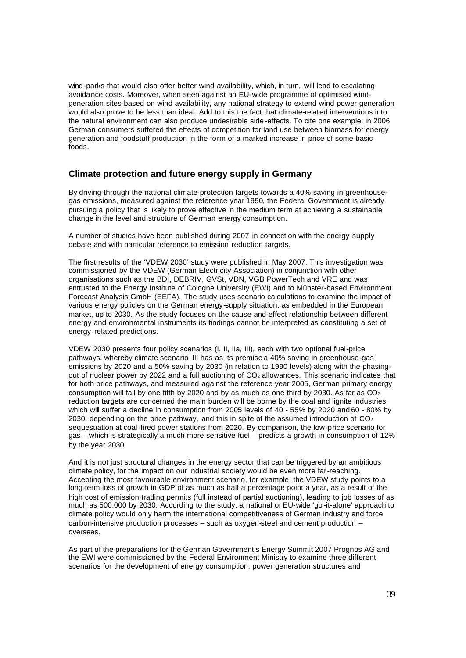wind-parks that would also offer better wind availability, which, in turn, will lead to escalating avoidance costs. Moreover, when seen against an EU-wide programme of optimised windgeneration sites based on wind availability, any national strategy to extend wind power generation would also prove to be less than ideal. Add to this the fact that climate-related interventions into the natural environment can also produce undesirable side -effects. To cite one example: in 2006 German consumers suffered the effects of competition for land use between biomass for energy generation and foodstuff production in the form of a marked increase in price of some basic foods.

# **Climate protection and future energy supply in Germany**

By driving-through the national climate-protection targets towards a 40% saving in greenhousegas emissions, measured against the reference year 1990, the Federal Government is already pursuing a policy that is likely to prove effective in the medium term at achieving a sustainable change in the level and structure of German energy consumption.

A number of studies have been published during 2007 in connection with the energy supply debate and with particular reference to emission reduction targets.

The first results of the 'VDEW 2030' study were published in May 2007. This investigation was commissioned by the VDEW (German Electricity Association) in conjunction with other organisations such as the BDI, DEBRIV, GVSt, VDN, VGB PowerTech and VRE and was entrusted to the Energy Institute of Cologne University (EWI) and to Münster-based Environment Forecast Analysis GmbH (EEFA). The study uses scenario calculations to examine the impact of various energy policies on the German energy-supply situation, as embedded in the European market, up to 2030. As the study focuses on the cause-and-effect relationship between different energy and environmental instruments its findings cannot be interpreted as constituting a set of energy-related predictions.

VDEW 2030 presents four policy scenarios (I, II, IIa, III), each with two optional fuel-price pathways, whereby climate scenario III has as its premise a 40% saving in greenhouse-gas emissions by 2020 and a 50% saving by 2030 (in relation to 1990 levels) along with the phasingout of nuclear power by 2022 and a full auctioning of CO<sub>2</sub> allowances. This scenario indicates that for both price pathways, and measured against the reference year 2005, German primary energy consumption will fall by one fifth by 2020 and by as much as one third by 2030. As far as  $CO<sub>2</sub>$ reduction targets are concerned the main burden will be borne by the coal and lignite industries, which will suffer a decline in consumption from 2005 levels of 40 - 55% by 2020 and 60 - 80% by 2030, depending on the price pathway, and this in spite of the assumed introduction of  $CO<sub>2</sub>$ sequestration at coal-fired power stations from 2020. By comparison, the low-price scenario for gas – which is strategically a much more sensitive fuel – predicts a growth in consumption of 12% by the year 2030.

And it is not just structural changes in the energy sector that can be triggered by an ambitious climate policy, for the impact on our industrial society would be even more far-reaching. Accepting the most favourable environment scenario, for example, the VDEW study points to a long-term loss of growth in GDP of as much as half a percentage point a year, as a result of the high cost of emission trading permits (full instead of partial auctioning), leading to job losses of as much as 500,000 by 2030. According to the study, a national or EU-wide 'go -it-alone' approach to climate policy would only harm the international competitiveness of German industry and force carbon-intensive production processes – such as oxygen-steel and cement production – overseas.

As part of the preparations for the German Government's Energy Summit 2007 Prognos AG and the EWI were commissioned by the Federal Environment Ministry to examine three different scenarios for the development of energy consumption, power generation structures and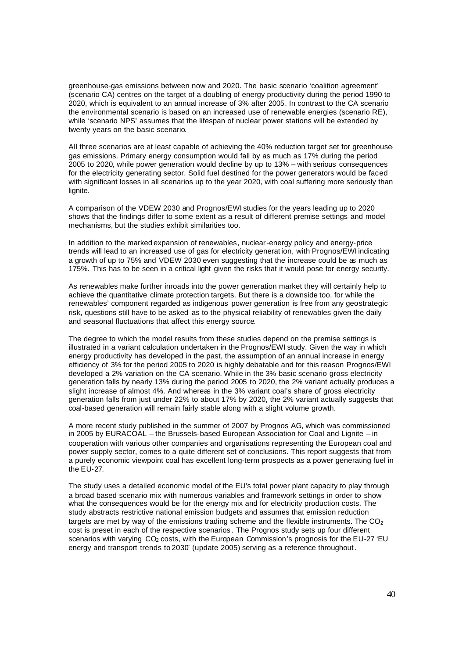greenhouse-gas emissions between now and 2020. The basic scenario 'coalition agreement' (scenario CA) centres on the target of a doubling of energy productivity during the period 1990 to 2020, which is equivalent to an annual increase of 3% after 2005. In contrast to the CA scenario the environmental scenario is based on an increased use of renewable energies (scenario RE), while 'scenario NPS' assumes that the lifespan of nuclear power stations will be extended by twenty years on the basic scenario.

All three scenarios are at least capable of achieving the 40% reduction target set for greenhousegas emissions. Primary energy consumption would fall by as much as 17% during the period 2005 to 2020, while power generation would decline by up to 13% – with serious consequences for the electricity generating sector. Solid fuel destined for the power generators would be faced with significant losses in all scenarios up to the year 2020, with coal suffering more seriously than lignite.

A comparison of the VDEW 2030 and Prognos/EWI studies for the years leading up to 2020 shows that the findings differ to some extent as a result of different premise settings and model mechanisms, but the studies exhibit similarities too.

In addition to the marked expansion of renewables, nuclear-energy policy and energy-price trends will lead to an increased use of gas for electricity generat ion, with Prognos/EWI indicating a growth of up to 75% and VDEW 2030 even suggesting that the increase could be as much as 175%. This has to be seen in a critical light given the risks that it would pose for energy security.

As renewables make further inroads into the power generation market they will certainly help to achieve the quantitative climate protection targets. But there is a downside too, for while the renewables' component regarded as indigenous power generation is free from any geostrategic risk, questions still have to be asked as to the physical reliability of renewables given the daily and seasonal fluctuations that affect this energy source.

The degree to which the model results from these studies depend on the premise settings is illustrated in a variant calculation undertaken in the Prognos/EWI study. Given the way in which energy productivity has developed in the past, the assumption of an annual increase in energy efficiency of 3% for the period 2005 to 2020 is highly debatable and for this reason Prognos/EWI developed a 2% variation on the CA scenario. While in the 3% basic scenario gross electricity generation falls by nearly 13% during the period 2005 to 2020, the 2% variant actually produces a slight increase of almost 4%. And whereas in the 3% variant coal's share of gross electricity generation falls from just under 22% to about 17% by 2020, the 2% variant actually suggests that coal-based generation will remain fairly stable along with a slight volume growth.

A more recent study published in the summer of 2007 by Prognos AG, which was commissioned in 2005 by EURACOAL – the Brussels-based European Association for Coal and Lignite – in cooperation with various other companies and organisations representing the European coal and power supply sector, comes to a quite different set of conclusions. This report suggests that from a purely economic viewpoint coal has excellent long-term prospects as a power generating fuel in the EU-27.

The study uses a detailed economic model of the EU's total power plant capacity to play through a broad based scenario mix with numerous variables and framework settings in order to show what the consequences would be for the energy mix and for electricity production costs. The study abstracts restrictive national emission budgets and assumes that emission reduction targets are met by way of the emissions trading scheme and the flexible instruments. The  $CO<sub>2</sub>$ cost is preset in each of the respective scenarios . The Prognos study sets up four different scenarios with varying  $CO<sub>2</sub>$  costs, with the European Commission's prognosis for the EU-27  $^{\circ}$ EU energy and transport trends to 2030' (update 2005) serving as a reference throughout .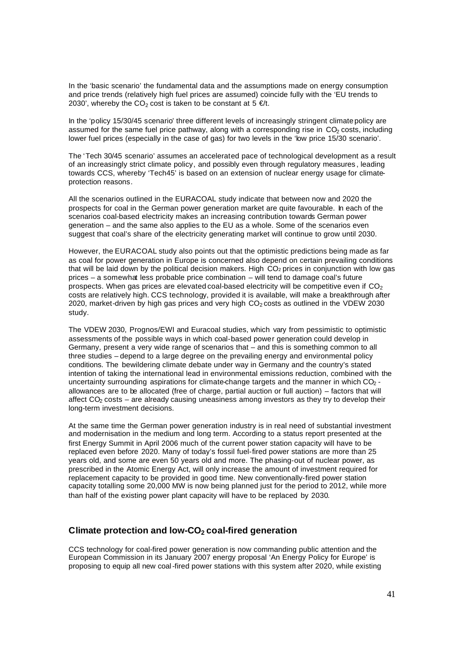In the 'basic scenario' the fundamental data and the assumptions made on energy consumption and price trends (relatively high fuel prices are assumed) coincide fully with the 'EU trends to 2030', whereby the CO<sub>2</sub> cost is taken to be constant at  $5 \in \mathcal{U}$ .

In the 'policy 15/30/45 scenario' three different levels of increasingly stringent climate policy are assumed for the same fuel price pathway, along with a corresponding rise in  $CO<sub>2</sub>$  costs, including lower fuel prices (especially in the case of gas) for two levels in the 'low price 15/30 scenario'.

The 'Tech 30/45 scenario' assumes an accelerated pace of technological development as a result of an increasingly strict climate policy, and possibly even through regulatory measures , leading towards CCS, whereby 'Tech45' is based on an extension of nuclear energy usage for climateprotection reasons.

All the scenarios outlined in the EURACOAL study indicate that between now and 2020 the prospects for coal in the German power generation market are quite favourable. In each of the scenarios coal-based electricity makes an increasing contribution towards German power generation – and the same also applies to the EU as a whole. Some of the scenarios even suggest that coal's share of the electricity generating market will continue to grow until 2030.

However, the EURACOAL study also points out that the optimistic predictions being made as far as coal for power generation in Europe is concerned also depend on certain prevailing conditions that will be laid down by the political decision makers. High CO<sub>2</sub> prices in conjunction with low gas prices – a somewhat less probable price combination – will tend to damage coal's future prospects. When gas prices are elevated coal-based electricity will be competitive even if  $CO<sub>2</sub>$ costs are relatively high. CCS technology, provided it is available, will make a breakthrough after 2020, market-driven by high gas prices and very high  $CO<sub>2</sub>$  costs as outlined in the VDEW 2030 study.

The VDEW 2030, Prognos/EWI and Euracoal studies, which vary from pessimistic to optimistic assessments of the possible ways in which coal-based power generation could develop in Germany, present a very wide range of scenarios that – and this is something common to all three studies – depend to a large degree on the prevailing energy and environmental policy conditions. The bewildering climate debate under way in Germany and the country's stated intention of taking the international lead in environmental emissions reduction, combined with the uncertainty surrounding aspirations for climate-change targets and the manner in which  $CO<sub>2</sub>$ . allowances are to be allocated (free of charge, partial auction or full auction) – factors that will affect  $CO<sub>2</sub> \cos ts -$  are already causing uneasiness among investors as they try to develop their long-term investment decisions.

At the same time the German power generation industry is in real need of substantial investment and modernisation in the medium and long term. According to a status report presented at the first Energy Summit in April 2006 much of the current power station capacity will have to be replaced even before 2020. Many of today's fossil fuel-fired power stations are more than 25 years old, and some are even 50 years old and more. The phasing-out of nuclear power, as prescribed in the Atomic Energy Act, will only increase the amount of investment required for replacement capacity to be provided in good time. New conventionally-fired power station capacity totalling some 20,000 MW is now being planned just for the period to 2012, while more than half of the existing power plant capacity will have to be replaced by 2030.

## **Climate protection and low-CO2 coal-fired generation**

CCS technology for coal-fired power generation is now commanding public attention and the European Commission in its January 2007 energy proposal 'An Energy Policy for Europe' is proposing to equip all new coal-fired power stations with this system after 2020, while existing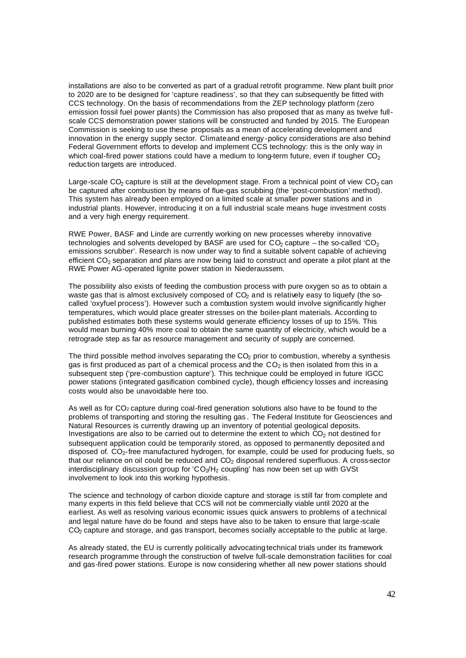installations are also to be converted as part of a gradual retrofit programme. New plant built prior to 2020 are to be designed for 'capture readiness', so that they can subsequently be fitted with CCS technology. On the basis of recommendations from the ZEP technology platform (zero emission fossil fuel power plants) the Commission has also proposed that as many as twelve fullscale CCS demonstration power stations will be constructed and funded by 2015. The European Commission is seeking to use these proposals as a mean of accelerating development and innovation in the energy supply sector. Climate and energy -policy considerations are also behind Federal Government efforts to develop and implement CCS technology: this is the only way in which coal-fired power stations could have a medium to long-term future, even if tougher  $CO<sub>2</sub>$ reduction targets are introduced.

Large-scale CO<sub>2</sub> capture is still at the development stage. From a technical point of view CO<sub>2</sub> can be captured after combustion by means of flue-gas scrubbing (the 'post-combustion' method). This system has already been employed on a limited scale at smaller power stations and in industrial plants. However, introducing it on a full industrial scale means huge investment costs and a very high energy requirement.

RWE Power, BASF and Linde are currently working on new processes whereby innovative technologies and solvents developed by BASF are used for  $CO<sub>2</sub>$  capture – the so-called 'CO<sub>2</sub> emissions scrubber'. Research is now under way to find a suitable solvent capable of achieving efficient  $CO<sub>2</sub>$  separation and plans are now being laid to construct and operate a pilot plant at the RWE Power AG-operated lignite power station in Niederaussem.

The possibility also exists of feeding the combustion process with pure oxygen so as to obtain a waste gas that is almost exclusively composed of  $CO<sub>2</sub>$  and is relatively easy to liquefy (the socalled 'oxyfuel process'). However such a combustion system would involve significantly higher temperatures, which would place greater stresses on the boiler-plant materials. According to published estimates both these systems would generate efficiency losses of up to 15%. This would mean burning 40% more coal to obtain the same quantity of electricity, which would be a retrograde step as far as resource management and security of supply are concerned.

The third possible method involves separating the  $CO<sub>2</sub>$  prior to combustion, whereby a synthesis gas is first produced as part of a chemical process and the  $CO<sub>2</sub>$  is then isolated from this in a subsequent step ('pre-combustion capture'). This technique could be employed in future IGCC power stations (integrated gasification combined cycle), though efficiency losses and increasing costs would also be unavoidable here too.

As well as for CO<sup>2</sup> capture during coal-fired generation solutions also have to be found to the problems of transporting and storing the resulting gas . The Federal Institute for Geosciences and Natural Resources is currently drawing up an inventory of potential geological deposits. Investigations are also to be carried out to determine the extent to which  $CO<sub>2</sub>$  not destined for subsequent application could be temporarily stored, as opposed to permanently deposited and disposed of.  $CO<sub>2</sub>$ -free manufactured hydrogen, for example, could be used for producing fuels, so that our reliance on oil could be reduced and  $CO<sub>2</sub>$  disposal rendered superfluous. A cross-sector interdisciplinary discussion group for  $CO<sub>2</sub>/H<sub>2</sub>$  coupling' has now been set up with GVSt involvement to look into this working hypothesis.

The science and technology of carbon dioxide capture and storage is still far from complete and many experts in this field believe that CCS will not be commercially viable until 2020 at the earliest. As well as resolving various economic issues quick answers to problems of a technical and legal nature have do be found and steps have also to be taken to ensure that large-scale CO<sub>2</sub> capture and storage, and gas transport, becomes socially acceptable to the public at large.

As already stated, the EU is currently politically advocating technical trials under its framework research programme through the construction of twelve full-scale demonstration facilities for coal and gas-fired power stations. Europe is now considering whether all new power stations should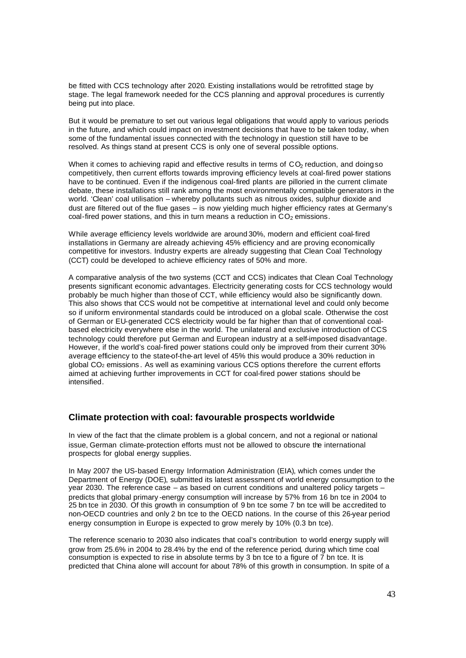be fitted with CCS technology after 2020. Existing installations would be retrofitted stage by stage. The legal framework needed for the CCS planning and approval procedures is currently being put into place.

But it would be premature to set out various legal obligations that would apply to various periods in the future, and which could impact on investment decisions that have to be taken today, when some of the fundamental issues connected with the technology in question still have to be resolved. As things stand at present CCS is only one of several possible options.

When it comes to achieving rapid and effective results in terms of  $CO<sub>2</sub>$  reduction, and doing so competitively, then current efforts towards improving efficiency levels at coal-fired power stations have to be continued. Even if the indigenous coal-fired plants are pilloried in the current climate debate, these installations still rank among the most environmentally compatible generators in the world. 'Clean' coal utilisation – whereby pollutants such as nitrous oxides, sulphur dioxide and dust are filtered out of the flue gases – is now yielding much higher efficiency rates at Germany's coal-fired power stations, and this in turn means a reduction in  $CO<sub>2</sub>$  emissions.

While average efficiency levels worldwide are around 30%, modern and efficient coal-fired installations in Germany are already achieving 45% efficiency and are proving economically competitive for investors. Industry experts are already suggesting that Clean Coal Technology (CCT) could be developed to achieve efficiency rates of 50% and more.

A comparative analysis of the two systems (CCT and CCS) indicates that Clean Coal Technology presents significant economic advantages. Electricity generating costs for CCS technology would probably be much higher than those of CCT, while efficiency would also be significantly down. This also shows that CCS would not be competitive at international level and could only become so if uniform environmental standards could be introduced on a global scale. Otherwise the cost of German or EU-generated CCS electricity would be far higher than that of conventional coalbased electricity everywhere else in the world. The unilateral and exclusive introduction of CCS technology could therefore put German and European industry at a self-imposed disadvantage. However, if the world's coal-fired power stations could only be improved from their current 30% average efficiency to the state-of-the-art level of 45% this would produce a 30% reduction in global CO2 emissions . As well as examining various CCS options therefore the current efforts aimed at achieving further improvements in CCT for coal-fired power stations should be intensified.

## **Climate protection with coal: favourable prospects worldwide**

In view of the fact that the climate problem is a global concern, and not a regional or national issue, German climate-protection efforts must not be allowed to obscure the international prospects for global energy supplies.

In May 2007 the US-based Energy Information Administration (EIA), which comes under the Department of Energy (DOE), submitted its latest assessment of world energy consumption to the year 2030. The reference case – as based on current conditions and unaltered policy targets – predicts that global primary -energy consumption will increase by 57% from 16 bn tce in 2004 to 25 bn tce in 2030. Of this growth in consumption of 9 bn tce some 7 bn tce will be accredited to non-OECD countries and only 2 bn tce to the OECD nations. In the course of this 26-year period energy consumption in Europe is expected to grow merely by 10% (0.3 bn tce).

The reference scenario to 2030 also indicates that coal's contribution to world energy supply will grow from 25.6% in 2004 to 28.4% by the end of the reference period, during which time coal consumption is expected to rise in absolute terms by 3 bn tce to a figure of  $\bar{7}$  bn tce. It is predicted that China alone will account for about 78% of this growth in consumption. In spite of a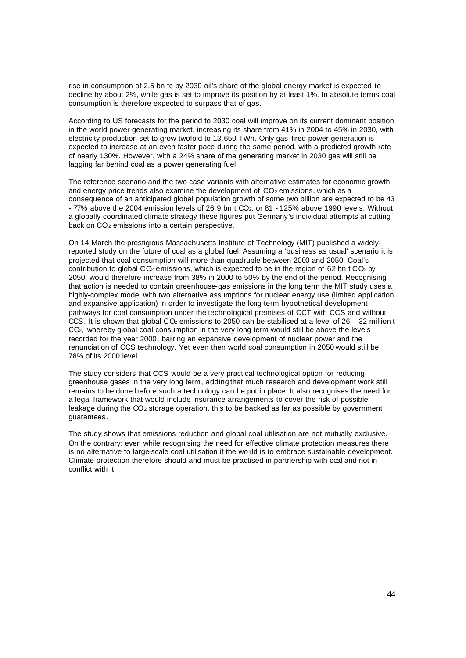rise in consumption of 2.5 bn tc by 2030 oil's share of the global energy market is expected to decline by about 2%, while gas is set to improve its position by at least 1%. In absolute terms coal consumption is therefore expected to surpass that of gas.

According to US forecasts for the period to 2030 coal will improve on its current dominant position in the world power generating market, increasing its share from 41% in 2004 to 45% in 2030, with electricity production set to grow twofold to 13,650 TWh. Only gas-fired power generation is expected to increase at an even faster pace during the same period, with a predicted growth rate of nearly 130%. However, with a 24% share of the generating market in 2030 gas will still be lagging far behind coal as a power generating fuel.

The reference scenario and the two case variants with alternative estimates for economic growth and energy price trends also examine the development of  $CO<sub>2</sub>$  emissions, which as a consequence of an anticipated global population growth of some two billion are expected to be 43 - 77% above the 2004 emission levels of 26.9 bn t CO2, or 81 - 125% above 1990 levels. Without a globally coordinated climate strategy these figures put Germany's individual attempts at cutting back on CO<sub>2</sub> emissions into a certain perspective.

On 14 March the prestigious Massachusetts Institute of Technology (MIT) published a widelyreported study on the future of coal as a global fuel. Assuming a 'business as usual' scenario it is projected that coal consumption will more than quadruple between 2000 and 2050. Coal's contribution to global CO<sub>2</sub> emissions, which is expected to be in the region of 62 bn t CO<sub>2</sub> by 2050, would therefore increase from 38% in 2000 to 50% by the end of the period. Recognising that action is needed to contain greenhouse-gas emissions in the long term the MIT study uses a highly-complex model with two alternative assumptions for nuclear energy use (limited application and expansive application) in order to investigate the long-term hypothetical development pathways for coal consumption under the technological premises of CCT with CCS and without CCS. It is shown that global CO<sub>2</sub> emissions to 2050 can be stabilised at a level of  $26 - 32$  million t CO<sub>2</sub>, whereby global coal consumption in the very long term would still be above the levels recorded for the year 2000, barring an expansive development of nuclear power and the renunciation of CCS technology. Yet even then world coal consumption in 2050 would still be 78% of its 2000 level.

The study considers that CCS would be a very practical technological option for reducing greenhouse gases in the very long term, adding that much research and development work still remains to be done before such a technology can be put in place. It also recognises the need for a legal framework that would include insurance arrangements to cover the risk of possible leakage during the  $CO<sub>2</sub>$  storage operation, this to be backed as far as possible by government guarantees.

The study shows that emissions reduction and global coal utilisation are not mutually exclusive. On the contrary: even while recognising the need for effective climate protection measures there is no alternative to large-scale coal utilisation if the wo rld is to embrace sustainable development. Climate protection therefore should and must be practised in partnership with coal and not in conflict with it.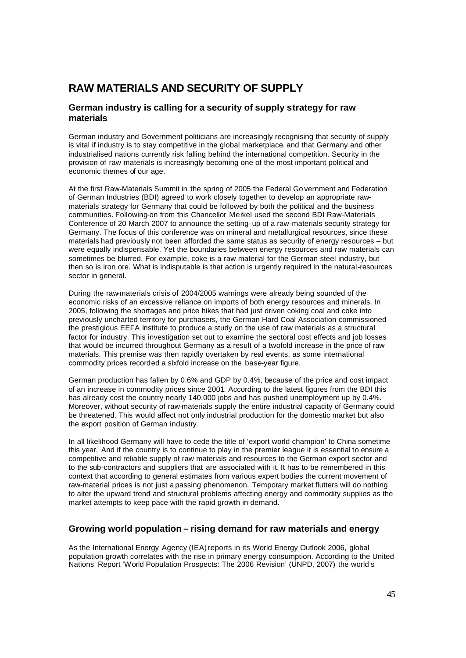# **RAW MATERIALS AND SECURITY OF SUPPLY**

# **German industry is calling for a security of supply strategy for raw materials**

German industry and Government politicians are increasingly recognising that security of supply is vital if industry is to stay competitive in the global marketplace, and that Germany and other industrialised nations currently risk falling behind the international competition. Security in the provision of raw materials is increasingly becoming one of the most important political and economic themes of our age.

At the first Raw-Materials Summit in the spring of 2005 the Federal Go vernment and Federation of German Industries (BDI) agreed to work closely together to develop an appropriate rawmaterials strategy for Germany that could be followed by both the political and the business communities. Following-on from this Chancellor Merkel used the second BDI Raw-Materials Conference of 20 March 2007 to announce the setting-up of a raw-materials security strategy for Germany. The focus of this conference was on mineral and metallurgical resources, since these materials had previously not been afforded the same status as security of energy resources – but were equally indispensable. Yet the boundaries between energy resources and raw materials can sometimes be blurred. For example, coke is a raw material for the German steel industry, but then so is iron ore. What is indisputable is that action is urgently required in the natural-resources sector in general.

During the raw-materials crisis of 2004/2005 warnings were already being sounded of the economic risks of an excessive reliance on imports of both energy resources and minerals. In 2005, following the shortages and price hikes that had just driven coking coal and coke into previously uncharted territory for purchasers, the German Hard Coal Association commissioned the prestigious EEFA Institute to produce a study on the use of raw materials as a structural factor for industry. This investigation set out to examine the sectoral cost effects and job losses that would be incurred throughout Germany as a result of a twofold increase in the price of raw materials. This premise was then rapidly overtaken by real events, as some international commodity prices recorded a sixfold increase on the base-year figure.

German production has fallen by 0.6% and GDP by 0.4%, because of the price and cost impact of an increase in commodity prices since 2001. According to the latest figures from the BDI this has already cost the country nearly 140,000 jobs and has pushed unemployment up by 0.4%. Moreover, without security of raw-materials supply the entire industrial capacity of Germany could be threatened. This would affect not only industrial production for the domestic market but also the export position of German industry.

In all likelihood Germany will have to cede the title of 'export world champion' to China sometime this year. And if the country is to continue to play in the premier league it is essential to ensure a competitive and reliable supply of raw materials and resources to the German export sector and to the sub-contractors and suppliers that are associated with it. It has to be remembered in this context that according to general estimates from various expert bodies the current movement of raw-material prices is not just a passing phenomenon. Temporary market flutters will do nothing to alter the upward trend and structural problems affecting energy and commodity supplies as the market attempts to keep pace with the rapid growth in demand.

# **Growing world population – rising demand for raw materials and energy**

As the International Energy Agency (IEA) reports in its World Energy Outlook 2006, global population growth correlates with the rise in primary energy consumption. According to the United Nations' Report 'World Population Prospects: The 2006 Revision' (UNPD, 2007) the world's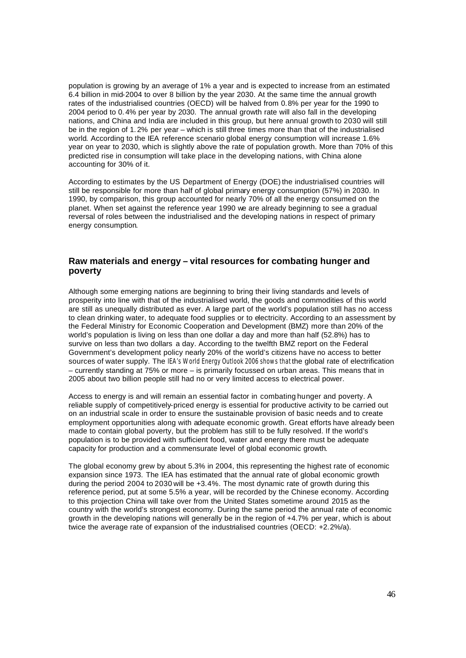population is growing by an average of 1% a year and is expected to increase from an estimated 6.4 billion in mid-2004 to over 8 billion by the year 2030. At the same time the annual growth rates of the industrialised countries (OECD) will be halved from 0.8% per year for the 1990 to 2004 period to 0. 4% per year by 2030. The annual growth rate will also fall in the developing nations, and China and India are included in this group, but here annual growth to 2030 will still be in the region of 1. 2% per year – which is still three times more than that of the industrialised world. According to the IEA reference scenario global energy consumption will increase 1.6% year on year to 2030, which is slightly above the rate of population growth. More than 70% of this predicted rise in consumption will take place in the developing nations, with China alone accounting for 30% of it.

According to estimates by the US Department of Energy (DOE) the industrialised countries will still be responsible for more than half of global primary energy consumption (57%) in 2030. In 1990, by comparison, this group accounted for nearly 70% of all the energy consumed on the planet. When set against the reference year 1990 we are already beginning to see a gradual reversal of roles between the industrialised and the developing nations in respect of primary energy consumption.

# **Raw materials and energy – vital resources for combating hunger and poverty**

Although some emerging nations are beginning to bring their living standards and levels of prosperity into line with that of the industrialised world, the goods and commodities of this world are still as unequally distributed as ever. A large part of the world's population still has no access to clean drinking water, to adequate food supplies or to electricity. According to an assessment by the Federal Ministry for Economic Cooperation and Development (BMZ) more than 20% of the world's population is living on less than one dollar a day and more than half (52.8%) has to survive on less than two dollars a day. According to the twelfth BMZ report on the Federal Government's development policy nearly 20% of the world's citizens have no access to better sources of water supply. The IEA's World Energy Outlook 2006 shows that the global rate of electrification – currently standing at 75% or more – is primarily focussed on urban areas. This means that in 2005 about two billion people still had no or very limited access to electrical power.

Access to energy is and will remain an essential factor in combating hunger and poverty. A reliable supply of competitively-priced energy is essential for productive activity to be carried out on an industrial scale in order to ensure the sustainable provision of basic needs and to create employment opportunities along with adequate economic growth. Great efforts have already been made to contain global poverty, but the problem has still to be fully resolved. If the world's population is to be provided with sufficient food, water and energy there must be adequate capacity for production and a commensurate level of global economic growth.

The global economy grew by about 5.3% in 2004, this representing the highest rate of economic expansion since 1973. The IEA has estimated that the annual rate of global economic growth during the period 2004 to 2030 will be +3.4%. The most dynamic rate of growth during this reference period, put at some 5.5% a year, will be recorded by the Chinese economy. According to this projection China will take over from the United States sometime around 2015 as the country with the world's strongest economy. During the same period the annual rate of economic growth in the developing nations will generally be in the region of +4.7% per year, which is about twice the average rate of expansion of the industrialised countries (OECD: +2.2%/a).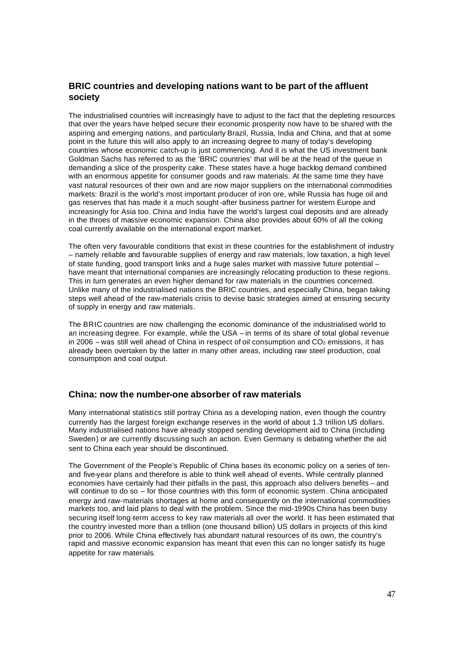# **BRIC countries and developing nations want to be part of the affluent society**

The industrialised countries will increasingly have to adjust to the fact that the depleting resources that over the years have helped secure their economic prosperity now have to be shared with the aspiring and emerging nations, and particularly Brazil, Russia, India and China, and that at some point in the future this will also apply to an increasing degree to many of today's developing countries whose economic catch-up is just commencing. And it is what the US investment bank Goldman Sachs has referred to as the 'BRIC countries' that will be at the head of the queue in demanding a slice of the prosperity cake. These states have a huge backlog demand combined with an enormous appetite for consumer goods and raw materials. At the same time they have vast natural resources of their own and are now major suppliers on the international commodities markets: Brazil is the world's most important producer of iron ore, while Russia has huge oil and gas reserves that has made it a much sought-after business partner for western Europe and increasingly for Asia too. China and India have the world's largest coal deposits and are already in the throes of massive economic expansion. China also provides about 60% of all the coking coal currently available on the international export market.

The often very favourable conditions that exist in these countries for the establishment of industry – namely reliable and favourable supplies of energy and raw materials, low taxation, a high level of state funding, good transport links and a huge sales market with massive future potential – have meant that international companies are increasingly relocating production to these regions. This in turn generates an even higher demand for raw materials in the countries concerned. Unlike many of the industrialised nations the BRIC countries, and especially China, began taking steps well ahead of the raw-materials crisis to devise basic strategies aimed at ensuring security of supply in energy and raw materials.

The BRIC countries are now challenging the economic dominance of the industrialised world to an increasing degree. For example, while the USA – in terms of its share of total global revenue in 2006 – was still well ahead of China in respect of oil consumption and  $CO<sub>2</sub>$  emissions, it has already been overtaken by the latter in many other areas, including raw steel production, coal consumption and coal output.

## **China: now the number-one absorber of raw materials**

Many international statistics still portray China as a developing nation, even though the country currently has the largest foreign exchange reserves in the world of about 1.3 trillion US dollars. Many industrialised nations have already stopped sending development aid to China (including Sweden) or are currently discussing such an action. Even Germany is debating whether the aid sent to China each year should be discontinued.

The Government of the People's Republic of China bases its economic policy on a series of tenand five-year plans and therefore is able to think well ahead of events. While centrally planned economies have certainly had their pitfalls in the past, this approach also delivers benefits – and will continue to do so – for those countries with this form of economic system. China anticipated energy and raw-materials shortages at home and consequently on the international commodities markets too, and laid plans to deal with the problem. Since the mid-1990s China has been busy securing itself long-term access to key raw materials all over the world. It has been estimated that the country invested more than a trillion (one thousand billion) US dollars in projects of this kind prior to 2006. While China effectively has abundant natural resources of its own, the country's rapid and massive economic expansion has meant that even this can no longer satisfy its huge appetite for raw materials.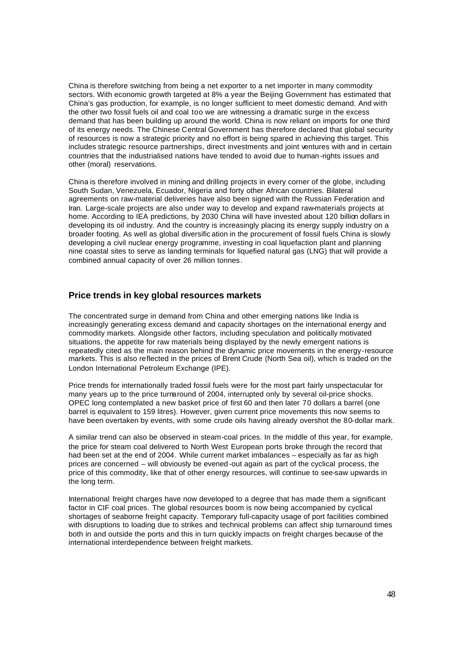China is therefore switching from being a net exporter to a net importer in many commodity sectors. With economic growth targeted at 8% a year the Beijing Government has estimated that China's gas production, for example, is no longer sufficient to meet domestic demand. And with the other two fossil fuels oil and coal too we are witnessing a dramatic surge in the excess demand that has been building up around the world. China is now reliant on imports for one third of its energy needs. The Chinese Central Government has therefore declared that global security of resources is now a strategic priority and no effort is being spared in achieving this target. This includes strategic resource partnerships, direct investments and joint ventures with and in certain countries that the industrialised nations have tended to avoid due to human-rights issues and other (moral) reservations.

China is therefore involved in mining and drilling projects in every corner of the globe, including South Sudan, Venezuela, Ecuador, Nigeria and forty other African countries. Bilateral agreements on raw-material deliveries have also been signed with the Russian Federation and Iran. Large-scale projects are also under way to develop and expand raw-materials projects at home. According to IEA predictions, by 2030 China will have invested about 120 billion dollars in developing its oil industry. And the country is increasingly placing its energy supply industry on a broader footing. As well as global diversific ation in the procurement of fossil fuels China is slowly developing a civil nuclear energy programme, investing in coal liquefaction plant and planning nine coastal sites to serve as landing terminals for liquefied natural gas (LNG) that will provide a combined annual capacity of over 26 million tonnes.

# **Price trends in key global resources markets**

The concentrated surge in demand from China and other emerging nations like India is increasingly generating excess demand and capacity shortages on the international energy and commodity markets. Alongside other factors, including speculation and politically motivated situations, the appetite for raw materials being displayed by the newly emergent nations is repeatedly cited as the main reason behind the dynamic price movements in the energy-resource markets. This is also reflected in the prices of Brent Crude (North Sea oil), which is traded on the London International Petroleum Exchange (IPE).

Price trends for internationally traded fossil fuels were for the most part fairly unspectacular for many years up to the price turnaround of 2004, interrupted only by several oil-price shocks. OPEC long contemplated a new basket price of first 60 and then later 70 dollars a barrel (one barrel is equivalent to 159 litres). However, given current price movements this now seems to have been overtaken by events, with some crude oils having already overshot the 80-dollar mark.

A similar trend can also be observed in steam-coal prices. In the middle of this year, for example, the price for steam coal delivered to North West European ports broke through the record that had been set at the end of 2004. While current market imbalances – especially as far as high prices are concerned – will obviously be evened -out again as part of the cyclical process, the price of this commodity, like that of other energy resources, will continue to see-saw upwards in the long term.

International freight charges have now developed to a degree that has made them a significant factor in CIF coal prices. The global resources boom is now being accompanied by cyclical shortages of seaborne freight capacity. Temporary full-capacity usage of port facilities combined with disruptions to loading due to strikes and technical problems can affect ship turnaround times both in and outside the ports and this in turn quickly impacts on freight charges because of the international interdependence between freight markets.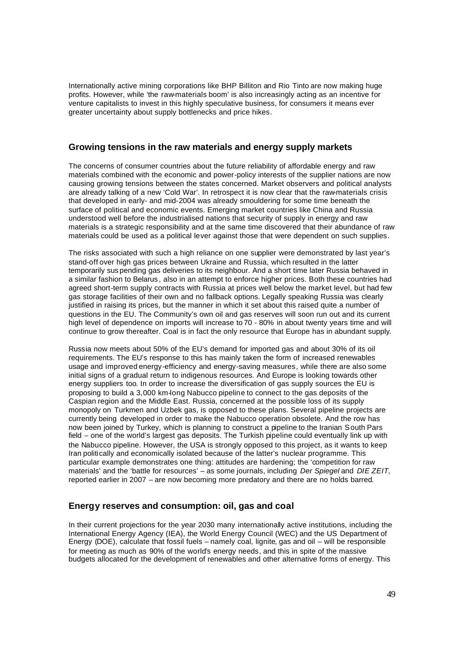Internationally active mining corporations like BHP Billiton and Rio Tinto are now making huge profits. However, while 'the raw-materials boom' is also increasingly acting as an incentive for venture capitalists to invest in this highly speculative business, for consumers it means ever greater uncertainty about supply bottlenecks and price hikes.

# **Growing tensions in the raw materials and energy supply markets**

The concerns of consumer countries about the future reliability of affordable energy and raw materials combined with the economic and power-policy interests of the supplier nations are now causing growing tensions between the states concerned. Market observers and political analysts are already talking of a new 'Cold War'. In retrospect it is now clear that the raw-materials crisis that developed in early- and mid-2004 was already smouldering for some time beneath the surface of political and economic events. Emerging market countries like China and Russia understood well before the industrialised nations that security of supply in energy and raw materials is a strategic responsibility and at the same time discovered that their abundance of raw materials could be used as a political lever against those that were dependent on such supplies.

The risks associated with such a high reliance on one supplier were demonstrated by last year's stand-off over high gas prices between Ukraine and Russia, which resulted in the latter temporarily sus pending gas deliveries to its neighbour. And a short time later Russia behaved in a similar fashion to Belarus , also in an attempt to enforce higher prices. Both these countries had agreed short-term supply contracts with Russia at prices well below the market level, but had few gas storage facilities of their own and no fallback options. Legally speaking Russia was clearly justified in raising its prices, but the manner in which it set about this raised quite a number of questions in the EU. The Community's own oil and gas reserves will soon run out and its current high level of dependence on imports will increase to 70 - 80% in about twenty years time and will continue to grow thereafter. Coal is in fact the only resource that Europe has in abundant supply.

Russia now meets about 50% of the EU's demand for imported gas and about 30% of its oil requirements. The EU's response to this has mainly taken the form of increased renewables usage and improved energy-efficiency and energy-saving measures, while there are also some initial signs of a gradual return to indigenous resources. And Europe is looking towards other energy suppliers too. In order to increase the diversification of gas supply sources the EU is proposing to build a 3,000 km-long Nabucco pipeline to connect to the gas deposits of the Caspian region and the Middle East. Russia, concerned at the possible loss of its supply monopoly on Turkmen and Uzbek gas, is opposed to these plans. Several pipeline projects are currently being developed in order to make the Nabucco operation obsolete. And the row has now been joined by Turkey, which is planning to construct a pipeline to the Iranian South Pars field – one of the world's largest gas deposits. The Turkish pipeline could eventually link up with the Nabucco pipeline. However, the USA is strongly opposed to this project, as it wants to keep Iran politically and economically isolated because of the latter's nuclear programme. This particular example demonstrates one thing: attitudes are hardening; the 'competition for raw materials' and the 'battle for resources' – as some journals, including *Der Spiegel* and *DIE ZEIT*, reported earlier in 2007 – are now becoming more predatory and there are no holds barred.

## **Energy reserves and consumption: oil, gas and coal**

In their current projections for the year 2030 many internationally active institutions, including the International Energy Agency (IEA), the World Energy Council (WEC) and the US Department of Energy (DOE), calculate that fossil fuels – namely coal, lignite, gas and oil – will be responsible for meeting as much as 90% of the world's energy needs, and this in spite of the massive budgets allocated for the development of renewables and other alternative forms of energy. This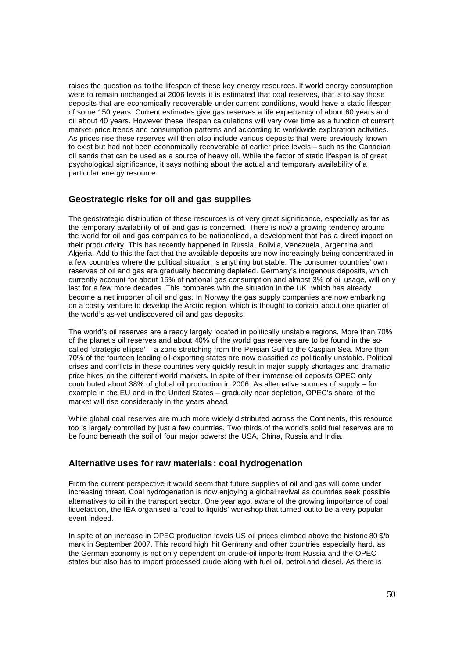raises the question as to the lifespan of these key energy resources. If world energy consumption were to remain unchanged at 2006 levels it is estimated that coal reserves, that is to say those deposits that are economically recoverable under current conditions, would have a static lifespan of some 150 years. Current estimates give gas reserves a life expectancy of about 60 years and oil about 40 years. However these lifespan calculations will vary over time as a function of current market-price trends and consumption patterns and ac cording to worldwide exploration activities. As prices rise these reserves will then also include various deposits that were previously known to exist but had not been economically recoverable at earlier price levels – such as the Canadian oil sands that can be used as a source of heavy oil. While the factor of static lifespan is of great psychological significance, it says nothing about the actual and temporary availability of a particular energy resource.

## **Geostrategic risks for oil and gas supplies**

The geostrategic distribution of these resources is of very great significance, especially as far as the temporary availability of oil and gas is concerned. There is now a growing tendency around the world for oil and gas companies to be nationalised, a development that has a direct impact on their productivity. This has recently happened in Russia, Bolivi a, Venezuela, Argentina and Algeria. Add to this the fact that the available deposits are now increasingly being concentrated in a few countries where the political situation is anything but stable. The consumer countries' own reserves of oil and gas are gradually becoming depleted. Germany's indigenous deposits, which currently account for about 15% of national gas consumption and almost 3% of oil usage, will only last for a few more decades. This compares with the situation in the UK, which has already become a net importer of oil and gas. In Norway the gas supply companies are now embarking on a costly venture to develop the Arctic region, which is thought to contain about one quarter of the world's as-yet undiscovered oil and gas deposits.

The world's oil reserves are already largely located in politically unstable regions. More than 70% of the planet's oil reserves and about 40% of the world gas reserves are to be found in the socalled 'strategic ellipse' – a zone stretching from the Persian Gulf to the Caspian Sea. More than 70% of the fourteen leading oil-exporting states are now classified as politically unstable. Political crises and conflicts in these countries very quickly result in major supply shortages and dramatic price hikes on the different world markets. In spite of their immense oil deposits OPEC only contributed about 38% of global oil production in 2006. As alternative sources of supply – for example in the EU and in the United States – gradually near depletion, OPEC's share of the market will rise considerably in the years ahead.

While global coal reserves are much more widely distributed across the Continents, this resource too is largely controlled by just a few countries. Two thirds of the world's solid fuel reserves are to be found beneath the soil of four major powers: the USA, China, Russia and India.

#### **Alternative uses for raw materials: coal hydrogenation**

From the current perspective it would seem that future supplies of oil and gas will come under increasing threat. Coal hydrogenation is now enjoying a global revival as countries seek possible alternatives to oil in the transport sector. One year ago, aware of the growing importance of coal liquefaction, the IEA organised a 'coal to liquids' workshop that turned out to be a very popular event indeed.

In spite of an increase in OPEC production levels US oil prices climbed above the historic 80 \$/b mark in September 2007. This record high hit Germany and other countries especially hard, as the German economy is not only dependent on crude-oil imports from Russia and the OPEC states but also has to import processed crude along with fuel oil, petrol and diesel. As there is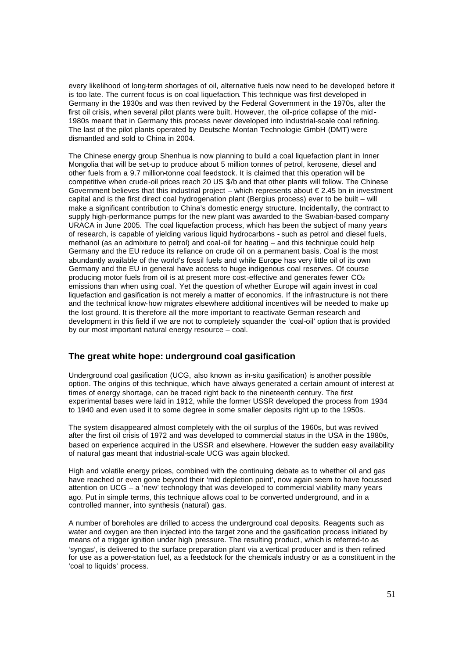every likelihood of long-term shortages of oil, alternative fuels now need to be developed before it is too late. The current focus is on coal liquefaction. This technique was first developed in Germany in the 1930s and was then revived by the Federal Government in the 1970s, after the first oil crisis, when several pilot plants were built. However, the oil-price collapse of the mid - 1980s meant that in Germany this process never developed into industrial-scale coal refining. The last of the pilot plants operated by Deutsche Montan Technologie GmbH (DMT) were dismantled and sold to China in 2004.

The Chinese energy group Shenhua is now planning to build a coal liquefaction plant in Inner Mongolia that will be set-up to produce about 5 million tonnes of petrol, kerosene, diesel and other fuels from a 9.7 million-tonne coal feedstock. It is claimed that this operation will be competitive when crude-oil prices reach 20 US \$/b and that other plants will follow. The Chinese Government believes that this industrial project – which represents about  $\epsilon$  2.45 bn in investment capital and is the first direct coal hydrogenation plant (Bergius process) ever to be built – will make a significant contribution to China's domestic energy structure. Incidentally, the contract to supply high-performance pumps for the new plant was awarded to the Swabian-based company URACA in June 2005. The coal liquefaction process, which has been the subject of many years of research, is capable of yielding various liquid hydrocarbons - such as petrol and diesel fuels, methanol (as an admixture to petrol) and coal-oil for heating – and this technique could help Germany and the EU reduce its reliance on crude oil on a permanent basis. Coal is the most abundantly available of the world's fossil fuels and while Europe has very little oil of its own Germany and the EU in general have access to huge indigenous coal reserves. Of course producing motor fuels from oil is at present more cost-effective and generates fewer CO<sup>2</sup> emissions than when using coal. Yet the question of whether Europe will again invest in coal liquefaction and gasification is not merely a matter of economics. If the infrastructure is not there and the technical know-how migrates elsewhere additional incentives will be needed to make up the lost ground. It is therefore all the more important to reactivate German research and development in this field if we are not to completely squander the 'coal-oil' option that is provided by our most important natural energy resource – coal.

# **The great white hope: underground coal gasification**

Underground coal gasification (UCG, also known as in-situ gasification) is another possible option. The origins of this technique, which have always generated a certain amount of interest at times of energy shortage, can be traced right back to the nineteenth century. The first experimental bases were laid in 1912, while the former USSR developed the process from 1934 to 1940 and even used it to some degree in some smaller deposits right up to the 1950s.

The system disappeared almost completely with the oil surplus of the 1960s, but was revived after the first oil crisis of 1972 and was developed to commercial status in the USA in the 1980s, based on experience acquired in the USSR and elsewhere. However the sudden easy availability of natural gas meant that industrial-scale UCG was again blocked.

High and volatile energy prices, combined with the continuing debate as to whether oil and gas have reached or even gone beyond their 'mid depletion point', now again seem to have focussed attention on UCG – a 'new' technology that was developed to commercial viability many years ago. Put in simple terms, this technique allows coal to be converted underground, and in a controlled manner, into synthesis (natural) gas.

A number of boreholes are drilled to access the underground coal deposits. Reagents such as water and oxygen are then injected into the target zone and the gasification process initiated by means of a trigger ignition under high pressure. The resulting product, which is referred-to as 'syngas', is delivered to the surface preparation plant via a vertical producer and is then refined for use as a power-station fuel, as a feedstock for the chemicals industry or as a constituent in the 'coal to liquids' process.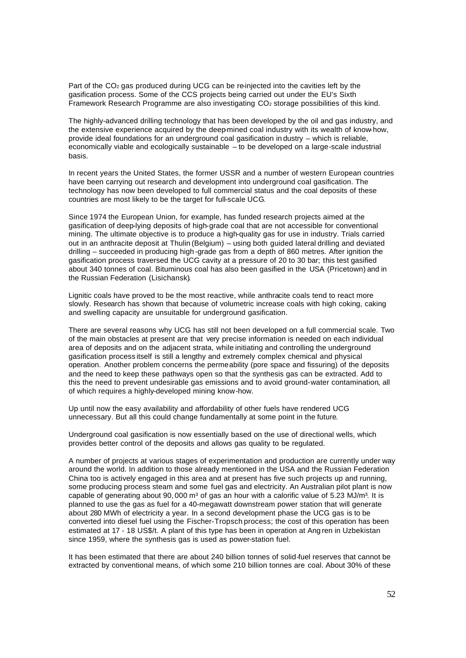Part of the CO<sub>2</sub> gas produced during UCG can be re-injected into the cavities left by the gasification process. Some of the CCS projects being carried out under the EU's Sixth Framework Research Programme are also investigating CO2 storage possibilities of this kind.

The highly-advanced drilling technology that has been developed by the oil and gas industry, and the extensive experience acquired by the deep-mined coal industry with its wealth of know-how, provide ideal foundations for an underground coal gasification in dustry – which is reliable, economically viable and ecologically sustainable – to be developed on a large-scale industrial basis.

In recent years the United States, the former USSR and a number of western European countries have been carrying out research and development into underground coal gasification. The technology has now been developed to full commercial status and the coal deposits of these countries are most likely to be the target for full-scale UCG.

Since 1974 the European Union, for example, has funded research projects aimed at the gasification of deep-lying deposits of high-grade coal that are not accessible for conventional mining. The ultimate objective is to produce a high-quality gas for use in industry. Trials carried out in an anthracite deposit at Thulin (Belgium) – using both guided lateral drilling and deviated drilling – succeeded in producing high -grade gas from a depth of 860 metres. After ignition the gasification process traversed the UCG cavity at a pressure of 20 to 30 bar; this test gasified about 340 tonnes of coal. Bituminous coal has also been gasified in the USA (Pricetown) and in the Russian Federation (Lisichansk).

Lignitic coals have proved to be the most reactive, while anthracite coals tend to react more slowly. Research has shown that because of volumetric increase coals with high coking, caking and swelling capacity are unsuitable for underground gasification.

There are several reasons why UCG has still not been developed on a full commercial scale. Two of the main obstacles at present are that very precise information is needed on each individual area of deposits and on the adjacent strata, while initiating and controlling the underground gasification process itself is still a lengthy and extremely complex chemical and physical operation. Another problem concerns the permeability (pore space and fissuring) of the deposits and the need to keep these pathways open so that the synthesis gas can be extracted. Add to this the need to prevent undesirable gas emissions and to avoid ground-water contamination, all of which requires a highly-developed mining know-how.

Up until now the easy availability and affordability of other fuels have rendered UCG unnecessary. But all this could change fundamentally at some point in the future.

Underground coal gasification is now essentially based on the use of directional wells, which provides better control of the deposits and allows gas quality to be regulated.

A number of projects at various stages of experimentation and production are currently under way around the world. In addition to those already mentioned in the USA and the Russian Federation China too is actively engaged in this area and at present has five such projects up and running, some producing process steam and some fuel gas and electricity. An Australian pilot plant is now capable of generating about  $90,000$  m<sup>3</sup> of gas an hour with a calorific value of 5.23 MJ/m<sup>3</sup>. It is planned to use the gas as fuel for a 40-megawatt downstream power station that will generate about 280 MWh of electricity a year. In a second development phase the UCG gas is to be converted into diesel fuel using the Fischer-Tropsch process; the cost of this operation has been estimated at 17 - 18 US\$/t. A plant of this type has been in operation at Ang ren in Uzbekistan since 1959, where the synthesis gas is used as power-station fuel.

It has been estimated that there are about 240 billion tonnes of solid-fuel reserves that cannot be extracted by conventional means, of which some 210 billion tonnes are coal. About 30% of these